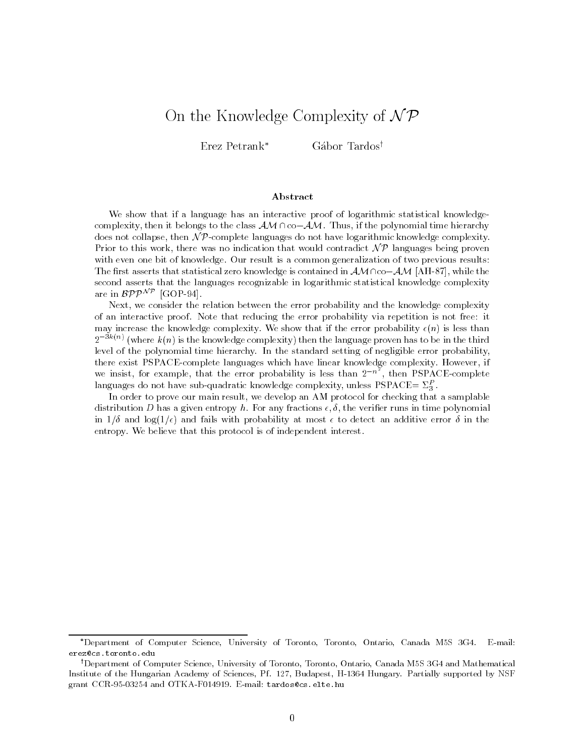# On the Knowledge Complexity of N P

 $E$ rez Petrank<sup>\*</sup> Gábor Tardos<sup>†</sup>

#### Abstract

We show that if a language has an interactive proof of logarithmic statistical knowledgecomplexity, then it belongs to the class  $\mathcal{AM} \cap \text{co-}\mathcal{AM}$ . Thus, if the polynomial time hierarchy does not collapse, then  $\mathcal{NP}$ -complete languages do not have logarithmic knowledge complexity. Prior to this work, there was no indication that would contradict  $N\mathcal{P}$  languages being proven with even one bit of knowledge-bit of knowledge-bit of two previous results is a common generalization of two p The first asserts that statistical zero knowledge is contained in  $AM\cap\text{co-}AM$  [AH-87], while the second asserts that the languages recognizable in logarithmic statistical knowledge complexity are in  $\mathcal{BPP}^{N,P}$  [GOP-94].

Next, we consider the relation between the error probability and the knowledge complexity of an interactive proof-times that reducing the error probability via repetition is not free it may increase the more complexity- we show that if the error probability system in the error  $2^{-(\gamma+\gamma)}$  (where  $k(n)$  is the knowledge complexity) then the language proven has to be in the third level of the polynomial time hierarchy- In the standard setting of negligible error probability there exist PSP and the property which have a model in the model in the complexity- from the complex  $\mathcal{L}_\mathbf{p}$ we insist, for example, that the error probability is less than  $2^{-n}$ , then PSPACE-complete languages do not have sub-quadratic knowledge complexity, unless PSPACE=  $\mathcal{L}_3$  .

In order to prove our main result, we develop an AM protocol for checking that a samplable distribution D has a given entropy he ror why have describing to the computations and directions and in a construction of the state with probability at most case and most constructed and the construction of the entropy-believe that this protocol is of independent interest-believe that the protocol is of independent interest-

Department of Computer Science, University of Toronto, Toronto, Untario, Canada M5S 3G4. E-mail: erez@cs.toronto.edu

Department of Computer Science, University of Toronto, Toronto, Ontario, Canada M5S 3G4 and Mathematical -Institute of the Hungarian Academy of Sciences Pf and the Pf Budapest H-Academy Pf Partially supported by NSF A grant CCR- and OTKAF Email tardoscseltehu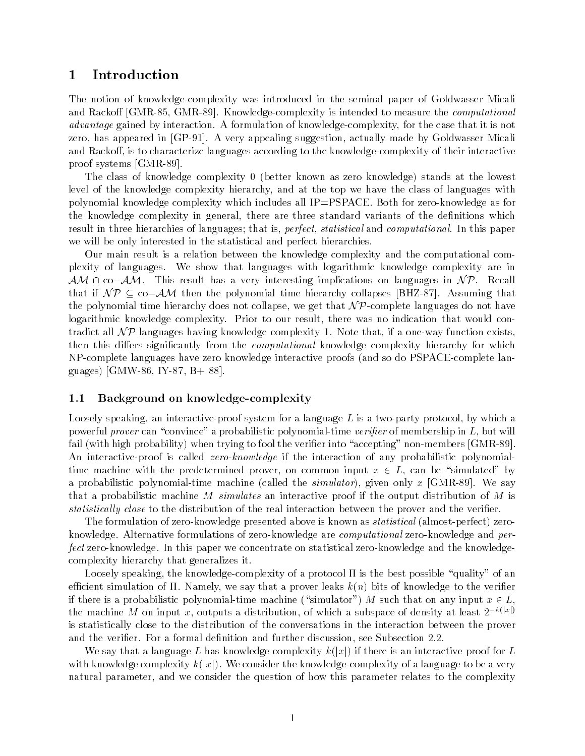## Introduction

The notion of knowledge-complexity was introduced in the seminal paper of Goldwasser Micali and contents produced the Godpart Copy is intended to measure the computation is intended the computation of th advantage gained by interaction. A formulation of knowledge-complexity, for the case that it is not zero has appeared in GP A very appealing suggestion actually made by Goldwasser Micali and and the characterize languages according to the knowledgecomplexity of the control interactive according to proof systems [GMR-89].

The class of knowledge complexity  $0$  (better known as zero knowledge) stands at the lowest level of the knowledge complexity hierarchy and at the top we have the class of languages with polynomial knowledge complexity which includes all IP=PSPACE. Both for zero-knowledge as for the knowledge complexity in general, there are three standard variants of the definitions which result in three hierarchies of languages; that is, *perfect, statistical* and *computational*. In this paper we will be only interested in the statistical and perfect hierarchies 

Our main result is a relation between the knowledge complexity and the computational com plexity of languages. We show that languages with logarithmic knowledge complexity are in  $AM \cap co-AM$ . This result has a very interesting implications on languages in  $\mathcal{NP}$ . Recall that if NP - coAM then the polynomial time hierarchy collapses BHZ Assuming that the polynomial time hierarchy does not collapse, we get that  $N\mathcal{P}$ -complete languages do not have logarithmic knowledge complexity. Prior to our result, there was no indication that would con $t$  and  $t$  and  $t$  are if a one-way function exists having the complexity function exists  $t$  and  $t$ then this since  $\sim$  ers since  $\sim$  the computational computational complexity for  $\sim$  which which is the which is NP-complete languages have zero knowledge interactive proofs (and so do PSPACE-complete languages) [GMW-86, IY-87, B+ $88$ ].

## are a complex complex complex in the complex complex complexity of the complex complex complex complex complex complex complex complex complex complex complex complex complex complex complex complex complex complex complex

Loosely speaking, an interactive-proof system for a language  $L$  is a two-party protocol, by which a powerful prover can "convince" a probabilistic polynomial-time verifier of membership in  $L$ , but will fail (with high probability) when trying to fool the verifier into "accepting" non-members  $\lceil GMR-89 \rceil$ . An interactive-proof is called *zero-knowledge* if the interaction of any probabilistic polynomialtime machine with the predetermined prover, on common input  $x \in L$ , can be "simulated" by a probabilistic polynomial-time machine (called the simulator), given only x  $\lbrack \text{GMR-89} \rbrack$ . We say that a probabilistic machine M simulates an interactive proof if the output distribution of M is statistically close to the distribution of the real interaction between the prover and the verifier.

The formulation of zero-knowledge presented above is known as statistical (almost-perfect) zeroknowledge. Alternative formulations of zero-knowledge are *computational* zero-knowledge and *perfect* zero-knowledge. In this paper we concentrate on statistical zero-knowledge and the knowledgecomplexity hierarchy that generalizes it 

Loosely speaking, the knowledge-complexity of a protocol  $\Pi$  is the best possible "quality" of an efficient simulation of  $\Pi$ . Namely, we say that a prover leaks  $k(n)$  bits of knowledge to the verifier if there is a probabilistic polynomial-time machine ("simulator") M such that on any input  $x \in L$ , the machine M on input x, outputs a distribution, of which a subspace of density at least  $2^{-k(|x|)}$ is statistically close to the distribution of the conversations in the interaction between the prover and the verifier. For a formal definition and further discussion, see Subsection 2.2.

We say that a language L has knowledge complexity  $k(|x|)$  if there is an interactive proof for L with knowledge complexity  $k(|x|)$ . We consider the knowledge-complexity of a language to be a very natural parameter, and we consider the question of how this parameter relates to the complexity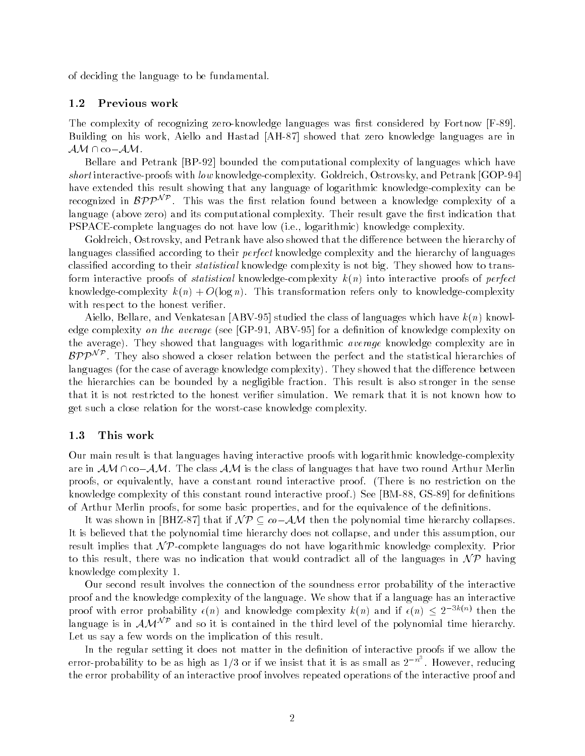of deciding the language to be fundamental 

## 1.2 Previous work

The complexity of recognizing zero-knowledge languages was first considered by Fortnow  $[F-89]$ . Building on his work, Aiello and Hastad [AH-87] showed that zero knowledge languages are in  $\mathcal{AM} \cap co- \mathcal{AM}$ .

Bellare and Petrank [BP-92] bounded the computational complexity of languages which have short interactive-proofs with low knowledge-complexity. Goldreich, Ostrovsky, and Petrank  $[GOP-94]$ have extended this result showing that any language of logarithmic knowledge-complexity can be recognized in  $\mathcal{BPP^{**}}$  . This was the first relation found between a knowledge complexity of a language (above zero) and its computational complexity. Their result gave the first indication that PSPACE-complete languages do not have low (i.e., logarithmic) knowledge complexity.

Goldreich Ostrovsky and Petrank have also showed that the di-erence between the hierarchy of languages classified according to their *perfect* knowledge complexity and the hierarchy of languages classified according to their *statistical* knowledge complexity is not big. They showed how to transform interactive proofs of *statistical* knowledge-complexity  $k(n)$  into interactive proofs of *perfect* knowledge-complexity  $k(n) + O(\log n)$ . This transformation refers only to knowledge-complexity with respect to the honest verifier.

Aiello, Bellare, and Venkatesan [ABV-95] studied the class of languages which have  $k(n)$  knowledge complexity on the average see GP ABV for a denition of knowledge complexity on the average). They showed that languages with logarithmic average knowledge complexity are in  $BPP^{NP}$ . They also showed a closer relation between the perfect and the statistical hierarchies of languages for the case of average knowledge complexity They showed that the di-erence between the hierarchies can be bounded by a negligible fraction. This result is also stronger in the sense that it is not restricted to the honest verifier simulation. We remark that it is not known how to get such a close relation for the worst-case knowledge complexity.

## 1.3 This work

Our main result is that languages having interactive proofs with logarithmic knowledge-complexity are in  $AM \cap co-AM$ . The class AM is the class of languages that have two round Arthur Merlin proofs, or equivalently, have a constant round interactive proof. (There is no restriction on the knowledge complexity of this constant round interactive proof.) See  $[BM-88, GS-89]$  for definitions of Arthur Merlin proofs, for some basic properties, and for the equivalence of the definitions.

It was shown in BHZ that if NP - coAM then the polynomial time hierarchy collapses It is believed that the polynomial time hierarchy does not collapse, and under this assumption, our result implies that  $\mathcal{NP}$ -complete languages do not have logarithmic knowledge complexity. Prior to this result, there was no indication that would contradict all of the languages in  $\mathcal{NP}$  having knowledge complexity and complexity and complexity and complexity and complexity and complexity and complexity

Our second result involves the connection of the soundness error probability of the interactive proof and the knowledge complexity of the language. We show that if a language has an interactive proof with error probability  $\epsilon(n)$  and knowledge complexity  $\kappa(n)$  and if  $\epsilon(n) \leq 2^{-\infty(\infty)}$  then the language is in  $AM^{\mathcal{NP}}$  and so it is contained in the third level of the polynomial time hierarchy. Let us say a few words on the implication of this result 

In the regular setting it does not matter in the definition of interactive proofs if we allow the error-probability to be as high as 1/3 or if we insist that it is as small as  $2^{-n}$  . However, reducing the error probability of an interactive proof involves repeated operations of the interactive proof and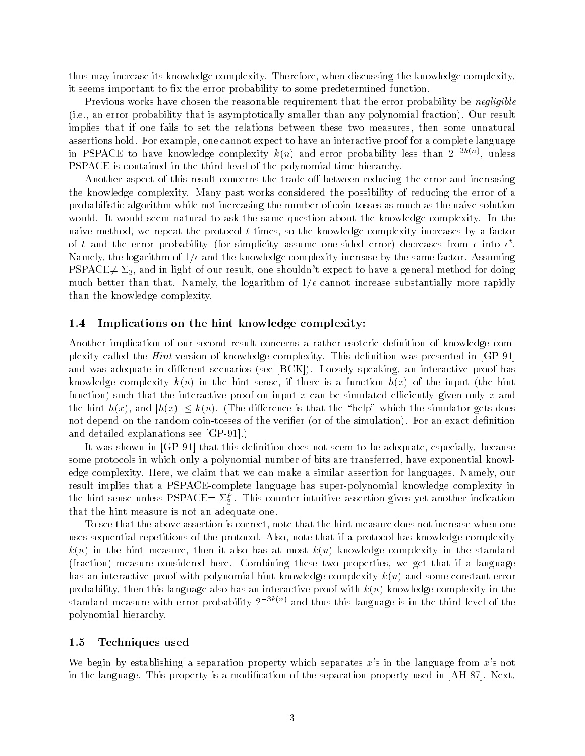thus may increase its knowledge complexity. Therefore, when discussing the knowledge complexity, it seems important to fix the error probability to some predetermined function.

Previous works have chosen the reasonable requirement that the error probability be *negligible*  $(i.e., an error probability that is asymptotically smaller than any polynomial fraction).$  Our result implies that if one fails to set the relations between these two measures then some unnatural assertions hold. For example, one cannot expect to have an interactive proof for a complete language in PSPACE to have knowledge complexity  $\kappa(n)$  and error probability less than  $Z^{-(n+1)}$ , unless PSPACE is contained in the third level of the polynomial time hierarchy 

Another aspect of this result concerns the tradeo- between reducing the error and increasing the knowledge complexity. Many past works considered the possibility of reducing the error of a probabilistic algorithm while not increasing the number of coin-tosses as much as the naive solution would. It would seem natural to ask the same question about the knowledge complexity. In the naive method, we repeat the protocol  $t$  times, so the knowledge complexity increases by a factor of  $\iota$  and the error probability (for simplicity assume one-sided error) decreases from  $\epsilon$  into  $\epsilon$  . Namely the logarithm of and the knowledge complexity increase by the same factor Assuming PSPACE
- and in light of our result one shouldnt expect to have a general method for doing much a click than that I cannot play the logarithm of Le and the logarithm of the logarithm of the logarithm o than the knowledge complexity 

## 1.4 Implications on the hint knowledge complexity:

Another implication of our second result concerns a rather esoteric definition of knowledge complexity called the Hint version of knowledge complexity This denition was presented in GP and was adequate in different seemings , we probably speaking an interactive proof has knowledge complexity  $k(n)$  in the hint sense, if there is a function  $h(x)$  of the input (the hint function) such that the interactive proof on input x can be simulated efficiently given only x and the hint hydrogen principle is the distribution of the simulator and the distribution  $\bigwedge$  is does not depend on the random coin-tosses of the verifier (or of the simulation). For an exact definition and detailed explanations see GPU and detailed explanations see GPU and detailed explanations see GPU and detail

It was shown in GP that this denition does not seem to be adequate especially because some protocols in which only a polynomial number of bits are transferred, have exponential knowledge complexity. Here, we claim that we can make a similar assertion for languages. Namely, our result implies that a PSPACE-complete language has super-polynomial knowledge complexity in the finit sense unless  $\text{PSPACE} = \frac{1}{3}$ . This counter-intuitive assertion gives yet another indication that the hint measure is not an adequate one 

To see that the above assertion is correct, note that the hint measure does not increase when one uses sequential repetitions of the protocol. Also, note that if a protocol has knowledge complexity  $k(n)$  in the hint measure, then it also has at most  $k(n)$  knowledge complexity in the standard (fraction) measure considered here. Combining these two properties, we get that if a language has an interactive proof with polynomial hint knowledge complexity  $k(n)$  and some constant error probability, then this language also has an interactive proof with  $k(n)$  knowledge complexity in the standard measure with error probability  $Z^{-\infty(\cdot,\cdot)}$  and thus this language is in the third level of the  $$ polynomial hierarchy 

#### 1.5 Techniques used

We begin by establishing a separation property which separates x's in the language from x's not in the language. This property is a modification of the separation property used in  $[AH-87]$ . Next.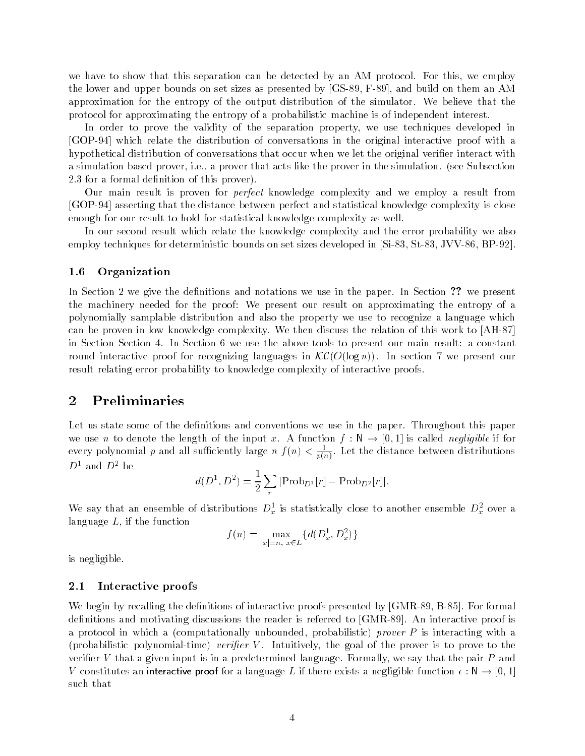we have to show that this separation can be detected by an AM protocol. For this, we employ the lower and upper bounds on set sizes as presented by  $[GS-89, F-89]$ , and build on them an AM approximation for the entropy of the output distribution of the simulator. We believe that the protocol for approximating the entropy of a probabilistic machine is of independent interest 

In order to prove the validity of the separation property, we use techniques developed in [GOP-94] which relate the distribution of conversations in the original interactive proof with a hypothetical distribution of conversations that occur when we let the original verifier interact with a simulation based prover, i.e., a prover that acts like the prover in the simulation. (see Subsection 2.3 for a formal definition of this prover).

Our main result is proven for *perfect* knowledge complexity and we employ a result from GOP asserting that the distance between perfect and statistical knowledge complexity is close enough for our result to hold for statistical knowledge complexity as well 

In our second result which relate the knowledge complexity and the error probability we also employ techniques for deterministic bounds on set sizes developed in  $\left[ Si-83, St-83, JVV-86, BP-92 \right]$ .

## 1.6 Organization

In Section 2 we give the definitions and notations we use in the paper. In Section  $\gamma$  we present the machinery needed for the proof: We present our result on approximating the entropy of a polynomially samplable distribution and also the property we use to recognize a language which can be proven in low knowledge complexity. We then discuss the relation of this work to  $[AH-87]$ in Section Section 4. In Section 6 we use the above tools to present our main result: a constant round interactive proof for recognizing languages in  $\mathcal{KC}(O(\log n))$ . In section 7 we present our result relating error probability to knowledge complexity of interactive proofs 

#### Preliminaries  $\bf{2}$

Let us state some of the definitions and conventions we use in the paper. Throughout this paper we use n to denote the length of the input x A function f <sup>N</sup> - is called negligible if for every polynomial  $p$  and all sumclently large  $n \, f(n) < \frac{1}{p(n)}$ . Let the distance between distributions  $D^1$  and  $D^2$  be

$$
d(D^1, D^2) = \frac{1}{2} \sum_{r} |{\text{Prob}_{D^1}[r]} - {\text{Prob}_{D^2}[r]}|.
$$

We say that an ensemble of distributions  $D_x^1$  is statistically close to another ensemble  $D_x^2$  over a language  $L$ , if the function

$$
f(n) = \max_{|x|=n, x \in L} \{d(D_x^1, D_x^2)\}
$$

is negligible 

## 2.1 Interactive proofs

We begin by recalling the definitions of interactive proofs presented by  $\lbrack \text{GMR-89}, \text{B-85} \rbrack$ . For formal definitions and motivating discussions the reader is referred to  $\lbrack \text{GMR-89} \rbrack$ . An interactive proof is a protocol in which a (computationally unbounded, probabilistic) prover  $P$  is interacting with a (probabilistic polynomial-time) verifier V. Intuitively, the goal of the prover is to prove to the verifier V that a given input is in a predetermined language. Formally, we say that the pair  $P$  and V constitutes an interactive proof for a language  $L$  if there exists a negligible function  $\epsilon$  . N  $\rightarrow$   $\vert 0,1 \vert$ such that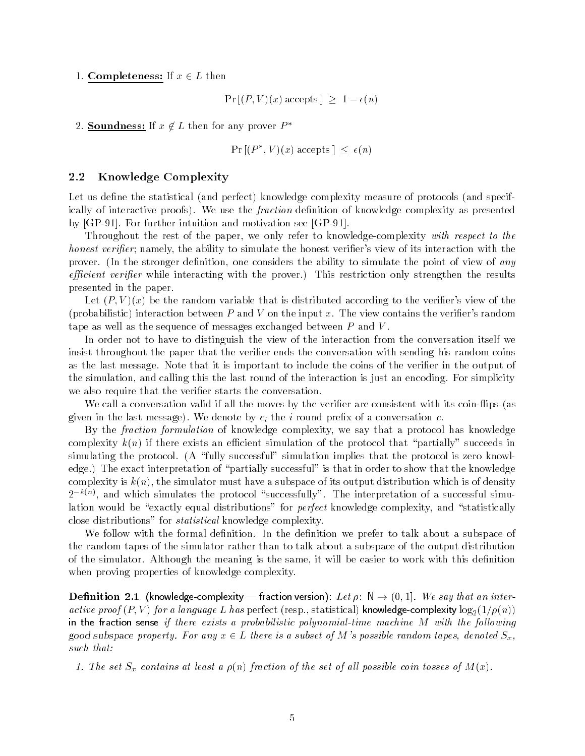## complete the second in the second contract of the second contract of the second contract of the second contract of the second contract of the second contract of the second contract of the second contract of the second cont

$$
Pr[(P, V)(x) accepts] \ge 1 - \epsilon(n)
$$

2. **Soundness:** If  $x \notin L$  then for any prover  $P^*$ 

$$
Pr[(P^*, V)(x) accepts] \leq \epsilon(n)
$$

## 2.2 Knowledge Complexity

Let us define the statistical (and perfect) knowledge complexity measure of protocols (and specifically of interactive proofs). We use the *fraction* definition of knowledge complexity as presented by GP For further intuition and motivation see GP 

Throughout the rest of the paper, we only refer to knowledge-complexity with respect to the honest verifier; namely, the ability to simulate the honest verifier's view of its interaction with the prover. (In the stronger definition, one considers the ability to simulate the point of view of any e-cient verier while interacting with the prover  This restriction only strengthen the results presented in the paper 

Let P- V x be the random variable that is distributed according to the veriers view of the (probabilistic) interaction between  $P$  and  $V$  on the input x. The view contains the verifier's random tape as well as the sequence of messages exchanged between  $P$  and  $V$ .

In order not to have to distinguish the view of the interaction from the conversation itself we insist throughout the paper that the verifier ends the conversation with sending his random coins as the last message. Note that it is important to include the coins of the verifier in the output of the simulation, and calling this the last round of the interaction is just an encoding. For simplicity we also require that the verifier starts the conversation.

We call a conversation valid if all the moves by the verifier are consistent with its coin-flips (as given in the last message). We denote by  $c_i$  the i round prefix of a conversation c.

By the *fraction formulation* of knowledge complexity, we say that a protocol has knowledge complexity  $k(n)$  if there exists an efficient simulation of the protocol that "partially" succeeds in simulating the protocol. (A "fully successful" simulation implies that the protocol is zero knowledge.) The exact interpretation of "partially successful" is that in order to show that the knowledge complexity is  $k(n)$ , the simulator must have a subspace of its output distribution which is of density  $2^{-(\infty)}$ , and which simulates the protocol "successfully". The interpretation of a successful simulation would be "exactly equal distributions" for *perfect* knowledge complexity, and "statistically close distributions" for *statistical* knowledge complexity.

We follow with the formal definition. In the definition we prefer to talk about a subspace of the random tapes of the simulator rather than to talk about a subspace of the output distribution of the simulator. Although the meaning is the same, it will be easier to work with this definition when proving properties of knowledge complexity 

**Definition 2.1** (MOWIEGge-Complexity - Haction version). Let  $p$ . IV  $\rightarrow$  (0, 1). We say that an interactive proof  $\{1, 1, 1\}$  is a language  $\pm$  mas perfect  $\{1 \in \mathbb{N}\}$  statistically intermediately logically logical political in the fraction sense if there exists a probabilistic polynomialtime machine M with the fol lowing good subspace property. For any  $x \in L$  there is a subset of Ms possible random tapes, denoted  $\cup_x$ , such that:

1. The set  $S_x$  contains at least a  $\rho(n)$  fraction of the set of all possible coin tosses of  $M(x)$ .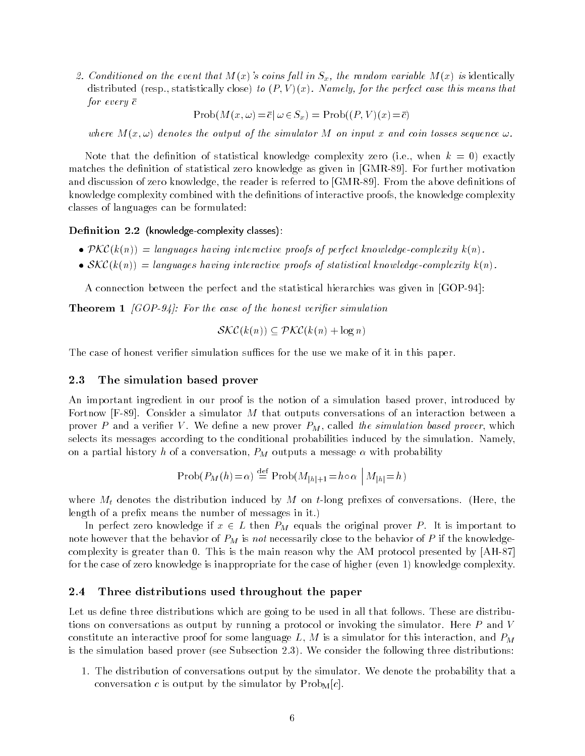2. Conditioned on the event that  $M(x)$ 's coins fall in  $S_x$ , the random variable  $M(x)$  is identically distributed responsibility of the perfect case that  $P$  -controlled responsibility for the perfect case that  $P$ for every  $\bar{c}$ 

 $\mathcal{L}$  . The state  $\{x_i\}$  is the state of  $\{x_i\}$  . In the state of  $\{x_i\}$  is the state of  $\{x_i\}$ 

where we papel and the data simulation of the simulations we are not to denote the signalized we

Note that the definition of statistical knowledge complexity zero (i.e., when  $k = 0$ ) exactly matches the definition of statistical zero knowledge as given in  $[GMR-89]$ . For further motivation and discussion of zero knowledge, the reader is referred to  $\lfloor GMR-89 \rfloor$ . From the above definitions of knowledge complexity combined with the definitions of interactive proofs, the knowledge complexity classes of languages can be formulated

## $D$  en interon $\mu$   $\mu$ ,  $\mu$  is a consequence complexity classes).

- $\mathcal{P}\mathcal{KC}(k(n)) =$  languages having interactive proofs of perfect knowledge-complexity  $k(n)$ .
- $\mathcal{SKC}(k(n)) =$  languages having interactive proofs of statistical knowledge-complexity  $k(n)$ .

A connection between the perfect and the statistical hierarchies was given in GOP

 $T$  , the case of the case of the case of the honest verified verified verified verified verified verified verified verified verified verified verified verified verified verified verified verified verified verified verifi

$$
\mathcal{SKC}(k(n)) \subseteq \mathcal{PKC}(k(n) + \log n)
$$

The case of honest verifier simulation suffices for the use we make of it in this paper.

#### 2.3 The simulation based prover

An important ingredient in our proof is the notion of a simulation based prover, introduced by Fortnow [F-89]. Consider a simulator  $M$  that outputs conversations of an interaction between a prover P and a verifier V. We define a new prover  $P_M$ , called the simulation based prover, which selects its messages according to the conditional probabilities induced by the simulation. Namely, on a partial history h of a conversation,  $P_M$  outputs a message  $\alpha$  with probability

$$
\mathrm{Prob}(P_M(h) = \alpha) \stackrel{\mathrm{def}}{=} \mathrm{Prob}(M_{|h|+1} = h \circ \alpha \mid M_{|h|} = h)
$$

and the state of the state of the state of

where  $M_t$  denotes the distribution induced by M on t-long prefixes of conversations. (Here, the length of a prefix means the number of messages in it.)

In perfect zero knowledge if  $x \in L$  then  $P_M$  equals the original prover P. It is important to note however that the behavior of  $P_M$  is not necessarily close to the behavior of P if the knowledgecomplexity is greater than 0. This is the main reason why the AM protocol presented by  $[AH-87]$  $f_A$  is inappropriate is inappropriate for the case of higher even  $f_A$  is independent of higher even  $f_A$ 

## 2.4 Three distributions used throughout the paper

Let us define three distributions which are going to be used in all that follows. These are distributions on conversations as output by running a protocol or invoking the simulator. Here  $P$  and  $V$ constitute an interactive proof for some language  $L, M$  is a simulator for this interaction, and  $P_M$ is the simulation based prover (see Subsection  $2.3$ ). We consider the following three distributions:

The distribution of conversation of conversations output by the simulator  $W$  denote the probability that are probability that and probability that are probability that are probability that are probability that are probab conversation c is output by the simulator by  $\text{Prob}_{M}[c]$ .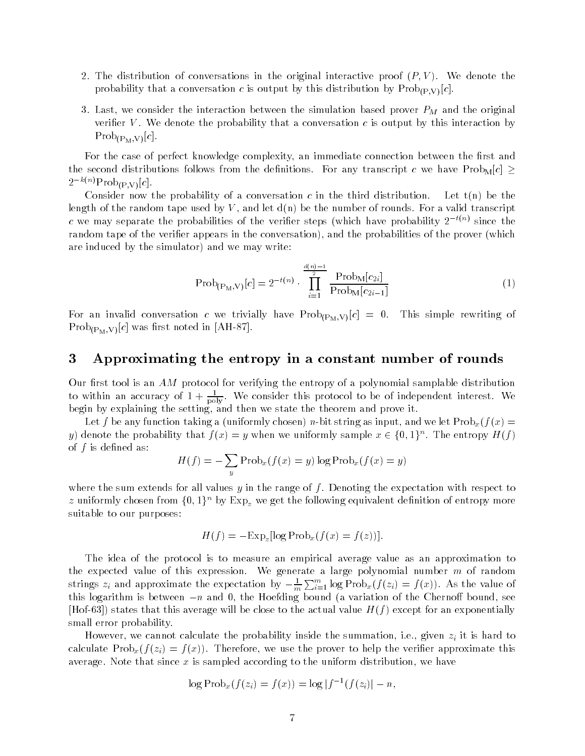- . The distribution of conversations in the original interactive proof (1, 1), 1), and the the probability that a conversation c is output by this distribution by  $\text{Prob}_{(P,V)}[c]$ .
- 3. Last, we consider the interaction between the simulation based prover  $P_M$  and the original verifier V. We denote the probability that a conversation c is output by this interaction by  $Prob_{(P_M,V)}[c].$

For the case of perfect knowledge complexity, an immediate connection between the first and the second distributions follows from the definitions. For any transcript c we have Prob<sub>M</sub> $[c] >$  $2^{-k(n)}$ Prob<sub>(PV)</sub>[c].

Consider now the probability of a conversation c in the third distribution. Let  $t(n)$  be the length of the random tape used by  $V$ , and let  $d(n)$  be the number of rounds. For a valid transcript c we may separate the probabilities of the verifier steps (which have probability  $2^{-t(n)}$  since the random tape of the verifier appears in the conversation), and the probabilities of the prover (which are induced by the simulator) and we may write:

$$
Prob_{(P_M, V)}[c] = 2^{-t(n)} \cdot \prod_{i=1}^{\frac{d(n)-1}{2}} \frac{Prob_M[c_{2i}]}{Prob_M[c_{2i-1}]}
$$
(1)

For an invalid conversation c we trivially have  $\text{Prob}_{(P_M,V)}[c] = 0$ . This simple rewriting of  $\text{Prob}_{(\text{P}_M,V)}[c]$  was first noted in [AH-87].

#### $\bf{3}$ Approximating the entropy in a constant number of rounds

Our first tool is an  $AM$  protocol for verifying the entropy of a polynomial samplable distribution to within an accuracy of  $1+\frac{1}{\text{poly}}$ . We consider this protocol to be of independent interest. We begin by explaining the setting, and then we state the theorem and prove it.

Let f be any function taking a (uniformly chosen) *n*-bit string as input, and we let  $\text{Prob}_x(f(x))$  $y_1$  denote the probability that  $f(x) = y$  when we uniformly sample  $x \in \{0,1\}$ . The entropy  $H(f)$ of  $f$  is defined as:

$$
H(f) = -\sum_{y} \text{Prob}_{x}(f(x) = y) \log \text{Prob}_{x}(f(x) = y)
$$

where the sum extends for all values y in the range of f. Denoting the expectation with respect to  $z$  uniformly chosen from  $\{0,1\}^+$  by Exp $_z$  we get the following equivalent dennition of entropy more suitable to our purposes

$$
H(f) = -\mathrm{Exp}_z[\log \mathrm{Prob}_x(f(x) = f(z))].
$$

The idea of the protocol is to measure an empirical average value as an approximation to the expected value of this expression. We generate a large polynomial number  $m$  of random strings  $z_i$  and approximate the expectation by  $-\frac{1}{m}\sum_{i=1}^m \log{\rm Prob}_x(f(z_i) = f(x))$ . As the value of this logarithm is between n and the Hoefding bound a variation of the Cherno- bound see [Hof-63]) states that this average will be close to the actual value  $H(f)$  except for an exponentially small error probability 

However, we cannot calculate the probability inside the summation, i.e., given  $z_i$  it is hard to calculate  $\text{Prob}_x(f(z_i) = f(x))$ . Therefore, we use the prover to help the verifier approximate this average. Note that since  $x$  is sampled according to the uniform distribution, we have

$$
\log \mathrm{Prob}_x(f(z_i) = f(x)) = \log |f^{-1}(f(z_i)| - n,
$$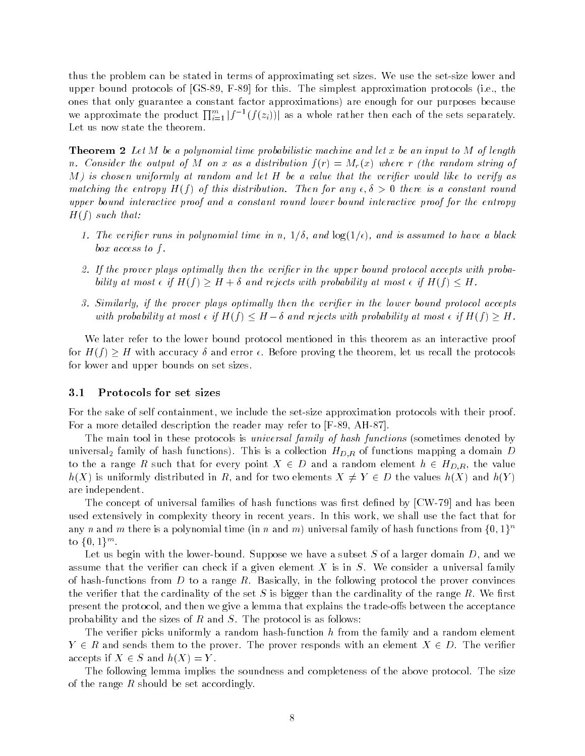thus the problem can be stated in terms of approximating set sizes. We use the set-size lower and upper bound protocols of  $[GS-89, F-89]$  for this. The simplest approximation protocols (i.e., the ones that only guarantee a constant factor approximations are enough for our purposes because we approximate the product  $\prod_{i=1}^{m} |f^{-1}(f(z_i))|$  as a whole rather then each of the sets separately. Let us now state the theorem.

**Theorem 2** Let M be a polynomial time probabilistic machine and let x be an input to M of length n. Consider the output of M on x as a distribution  $f(r) = M_r(x)$  where r (the random string of  $M$ ) is chosen uniformly at random and let  $H$  be a value that the verifier would like to verify as matching the entropy Hf I I all this distributions when for any six of a constant results required to the const upper bound interactive proof and a constant round lower bound interactive proof for the entropy  $H(f)$  such that:

- The verier runs in polynomial time in n and log  and is assumed to have a black box access to f.
- 2. If the prover plays optimally then the verifier in the upper bound protocol accepts with probability at most  $\epsilon$  if  $H(f) \geq H + \delta$  and rejects with probability at most  $\epsilon$  if  $H(f) \leq H$ .
- 3. Similarly, if the prover plays optimally then the verifier in the lower bound protocol accepts with probability at most  $\epsilon$  if  $H(f) \leq H - \delta$  and rejects with probability at most  $\epsilon$  if  $H(f) \geq H$ .

We later refer to the lower bound protocol mentioned in this theorem as an interactive proof for  $H(f) > H$  with accuracy  $\delta$  and error  $\epsilon$ . Before proving the theorem, let us recall the protocols for lower and upper bounds on set sizes 

## 3.1 Protocols for set sizes

For the sake of self containment, we include the set-size approximation protocols with their proof. For a more detailed description the reader may refer to  $[F-89, AH-87]$ .

The main tool in these protocols is *universal family of hash functions* (sometimes denoted by which functions are the functions of the function  $\mathbb{F}_p$  is a collection  $\mathbb{F}_p$  and  $\mathbb{F}_p$  and  $\mathbb{F}_p$  are dominated by to the a range R such that for every point  $X \in D$  and a random element  $h \in H_{D,R}$ , the value  $h(X)$  is uniformly distributed in R, and for two elements  $X \neq Y \in D$  the values  $h(X)$  and  $h(Y)$ are independent 

The concept of universal families of hash functions was first defined by  $\text{[CW-79]}$  and has been used extensively in complexity theory in recent years. In this work, we shall use the fact that for any  $n$  and  $m$  there is a polynomial time (in  $n$  and  $m$ ) universal family of hash functions from {0, 1}.  $\hspace{0.1 cm}$  $\{0, 1\}$ .

Let us begin with the lower-bound. Suppose we have a subset S of a larger domain D, and we assume that the verifier can check if a given element X is in  $S$ . We consider a universal family of hash-functions from  $D$  to a range  $R$ . Basically, in the following protocol the prover convinces the verifier that the cardinality of the set S is bigger than the cardinality of the range R. We first present the protocol and then we give a lemma that explains the tradeo-s between the acceptance probability and the sizes of  $R$  and  $S$ . The protocol is as follows:

The verifier picks uniformly a random hash-function  $h$  from the family and a random element  $Y \in R$  and sends them to the prover. The prover responds with an element  $X \in D$ . The verifier accepts if  $X \in S$  and  $h(X) = Y$ .

The following lemma implies the soundness and completeness of the above protocol The size of the range  $R$  should be set accordingly.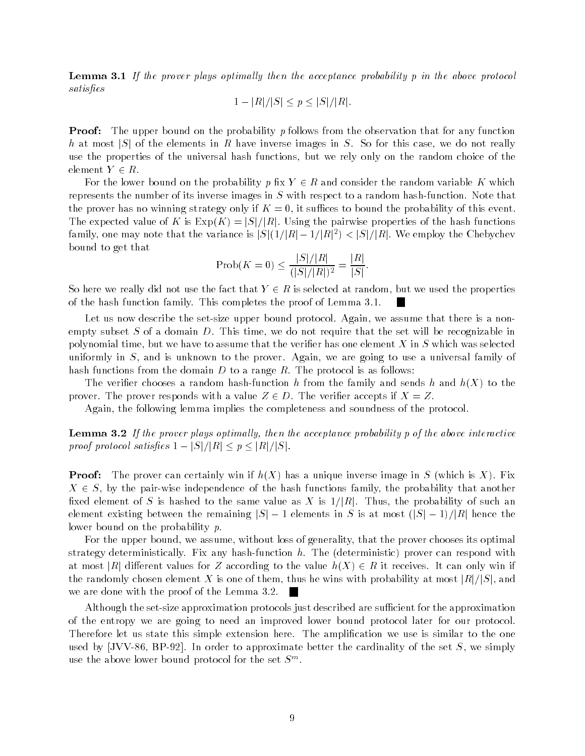**Lemma 3.1** If the prover plays optimally then the acceptance probability p in the above protocol satisfies

$$
1 - |R|/|S| \le p \le |S|/|R|.
$$

**Proof:** The upper bound on the probability  $p$  follows from the observation that for any function h at most  $|S|$  of the elements in R have inverse images in S. So for this case, we do not really use the properties of the universal hash functions but we rely only on the random choice of the element  $Y \in R$ .

For the lower bound on the probability p fix  $Y \in R$  and consider the random variable K which represents the number of its inverse images in S with respect to a random hash-function. Note that the prover has no winning strategy only if  $K = 0$ , it suffices to bound the probability of this event. The expected value of K is  $\text{Exp}(K) = |S|/|R|$ . Using the pairwise properties of the hash functions  $\min$ , one may note that the variance is  $|S|(1/|R| - 1/|R|^{2}) \leq |S|/|R|$ . We employ the Chebychev bound to get that

$$
\mathrm{Prob}(K=0) \le \frac{|S|/|R|}{(|S|/|R|)^2} = \frac{|R|}{|S|}.
$$

So here we really did not use the fact that  $Y \in R$  is selected at random, but we used the properties of the hash function family  $\Gamma$  this complete the proof of  $\Gamma$ 

Let us now describe the set-size upper bound protocol. Again, we assume that there is a nonempty subset S of a domain  $D$ . This time, we do not require that the set will be recognizable in polynomial time, but we have to assume that the verifier has one element X in S which was selected uniformly in  $S$ , and is unknown to the prover. Again, we are going to use a universal family of hash functions from the domain  $D$  to a range  $R$ . The protocol is as follows:

The verifier chooses a random hash-function  $h$  from the family and sends  $h$  and  $h(X)$  to the prover. The prover responds with a value  $Z \in D$ . The verifier accepts if  $X = Z$ .

Again, the following lemma implies the completeness and soundness of the protocol.

**Lemma 3.2** If the prover plays optimally, then the acceptance probability p of the above interactive protocol protocol satisfaction and property in the property of the set of the set of the set of the set of the

**Proof:** The prover can certainly win if  $h(X)$  has a unique inverse image in S (which is X). Fix  $X \in S$ , by the pair-wise independence of the hash functions family, the probability that another xed element of S is hashed to the same value as X is jRj Thus the probability of such an element the thing between the remaining  $|\mathcal{G}|$  . The remaining in Section (in Section 1995) and the contract  $\mathcal{G}$ lower bound on the probability  $p$ .

For the upper bound, we assume, without loss of generality, that the prover chooses its optimal strategy deterministically. Fix any hash-function  $h$ . The (deterministic) prover can respond with at most jevi most for Z according to the value of  $\alpha$  it receives  $\alpha$  is the value of  $\alpha$ the randomly chosen element X is one of them, thus he wins with probability at most  $|R|/|S|$ , and we are done with the proof of the Lemma 

Although the set-size approximation protocols just described are sufficient for the approximation of the entropy we are going to need an improved lower bound protocol later for our protocol Therefore let us state this simple extension here. The amplification we use is similar to the one used by  $JVV-86$ , BP-92. In order to approximate better the cardinality of the set S, we simply use the above lower bound protocol for the set  $S^{\pi}$ .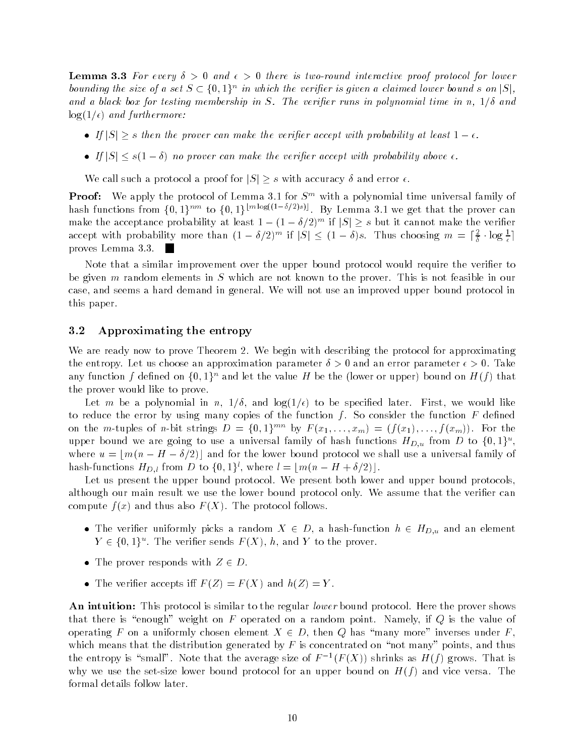**Lemma 3.3** For every  $\delta > 0$  and  $\epsilon > 0$  there is two-round interactive proof protocol for lower bounding the size of a set  $S \subset \{0,1\}^+$  in which the verifier is given a claimed lower bound s on  $|S|$ , and a black box for testing membership in S The verified tangers in polynomial time in nj mj t and t and in the furthermore and furthermore and furthermore and in the set of the set of the set of the set of the

- If is the canceled the provence can make the verified with probability at least  $\mathbf{r}$
- If it is the state that it is a make the verified with probability above the verified above the verified above

We call such a protocol a proof for  $|S| > s$  with accuracy  $\delta$  and error  $\epsilon$ .

**Proof:** We apply the protocol of Lemma 5.1 for  $S^{\cdots}$  with a polynomial time universal family of hash functions from  $\{0,1\}$   $\cdots$  to  $\{0,1\}$   $\cdots$  such sizes in By Lemma 3.1 we get that the prover can make the acceptance probability at least  $1 = (1 - \theta / 2)^{m}$  if  $|S| \geq s$  but it cannot make the verifier accept with probability more than  $(1 - \delta/2)^m$  if  $|S| \le (1 - \delta)s$ . Thus choosing  $m = |\frac{1}{\delta} \cdot \log \frac{1}{\epsilon}|$ proves Lemma 

Note that a similar improvement over the upper bound protocol would require the verifier to be given  $m$  random elements in  $S$  which are not known to the prover. This is not feasible in our case, and seems a hard demand in general. We will not use an improved upper bound protocol in this paper 

## 3.2 Approximating the entropy

We are ready now to prove Theorem 2. We begin with describing the protocol for approximating the entropy. Let us choose an approximation parameter  $\delta > 0$  and an error parameter  $\epsilon > 0$ . Take any function  $\gamma$  defined on  $\{0,1\}^*$  and let the value  $H$  be the flower or upper) bound on  $H$  ( $\gamma$ ) that the prover would like to prove 

and in a polynomial in it applyment in  $\Delta$  is to be specified later. A logic in a specified like to reduce the error by using many copies of the function  $f$ . So consider the function  $F$  defined on the m-tuples of n-bit strings  $D = \{0,1\}^{n}$  by  $F(x_1,\ldots,x_m) = \{f(x_1),\ldots,f(x_m)\}$ . For the upper bound we are going to use a universal family of hash functions  $H_{D,u}$  from  $D$  to  $\{0,1\}^n$ , where  $u = |m(n - H - \delta/2)|$  and for the lower bound protocol we shall use a universal family of mash-functions  $H_{D,l}$  from D to  $\{0,1\}$ , where  $l \equiv |m(n-H+\theta/Z)|$ .

Let us present the upper bound protocol. We present both lower and upper bound protocols. although our main result we use the lower bound protocol only. We assume that the verifier can compute  $f(x)$  and thus also  $F(X)$ . The protocol follows.

- The verifier uniformly picks a random  $X \in D$ , a hash-function  $h \in H_{D,u}$  and an element  $I \in \{0,1\}^n$ . The verifier sends  $I \{A\}$ ,  $\mu$ , and  $I$  to the prover.
- The prover responds with  $Z \in D$ .
- $\mathcal{F}$  and  $\mathcal{F}$  is the verified and  $\mathcal{F}$  and  $\mathcal{F}$  and  $\mathcal{F}$  and  $\mathcal{F}$  and  $\mathcal{F}$  and  $\mathcal{F}$  are an international and  $\mathcal{F}$  and  $\mathcal{F}$  are an international and  $\mathcal{F}$  are an international and

An intuition: This protocol is similar to the regular *lower* bound protocol. Here the prover shows that there is "enough" weight on F operated on a random point. Namely, if  $Q$  is the value of operating F on a uniformly chosen element  $X \in D$ , then Q has "many more" inverses under F. which means that the distribution generated by  $F$  is concentrated on "not many" points, and thus the entropy is "small". Note that the average size of  $F^{-+}(F(\Lambda))$  shrinks as  $H(f)$  grows. That is why we use the set-size lower bound protocol for an upper bound on  $H(f)$  and vice versa. The formal details follow later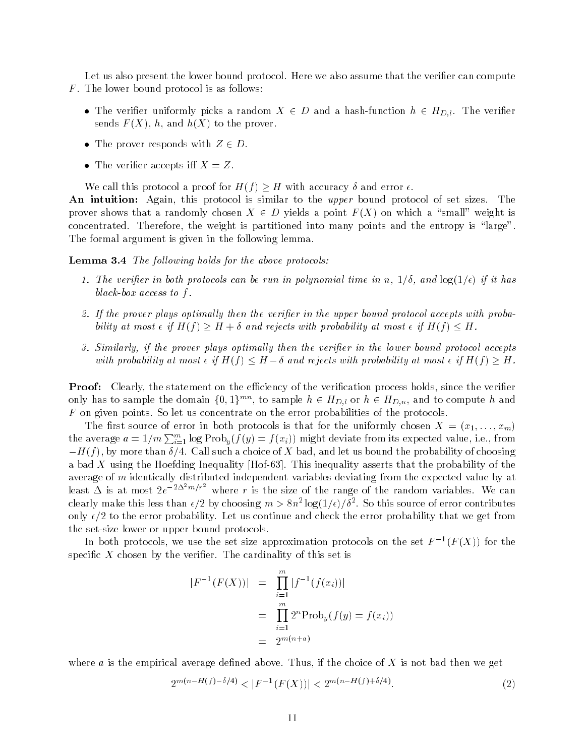Let us also present the lower bound protocol. Here we also assume that the verifier can compute  $F$ . The lower bound protocol is as follows:

- The verifier uniformly picks a random  $X \in D$  and a hash-function  $h \in H_{D,l}$ . The verifier sends  $F(X)$ , h, and  $h(X)$  to the prover.
- The prover responds with  $Z \in D$ .
- the verified and  $\mathbb{P}^1$  is the contract of the contract of the contract of the contract of the contract of

We call this protocol a proof for  $H(f) \geq H$  with accuracy  $\delta$  and error  $\epsilon$ .

An intuition: Again, this protocol is similar to the *upper* bound protocol of set sizes. The prover shows that a randomly chosen  $X \in D$  yields a point  $F(X)$  on which a "small" weight is concentrated. Therefore, the weight is partitioned into many points and the entropy is "large". The formal argument is given in the following lemma 

### **Lemma 3.4** The following holds for the above protocols:

- The verier in both protocols can be run in polynomial time in n and log  if it has black-box access to  $f$ .
- 2. If the prover plays optimally then the verifier in the upper bound protocol accepts with probability at most  $\epsilon$  if  $H(f) \geq H + \delta$  and rejects with probability at most  $\epsilon$  if  $H(f) \leq H$ .
- 3. Similarly, if the prover plays optimally then the verifier in the lower bound protocol accepts with probability at most  $\epsilon$  if  $H(f) \leq H - \delta$  and rejects with probability at most  $\epsilon$  if  $H(f) \geq H$ .

**Proof:** Clearly, the statement on the efficiency of the verification process holds, since the verifier only has to sample the domain  $\{0,1\}^{n}$ , to sample  $n \in \pi_{D,l}$  or  $n \in \pi_{D,u},$  and to compute  $n$  and  $F$  on given points. So let us concentrate on the error probabilities of the protocols.

The rst source of error in both protocols is the uniformly chosen  $\Lambda$  and  $\Lambda$  and  $\Lambda$  and  $\Lambda$ the average  $a=1/m\sum_{i=1}^{m}\log\mathrm{Prob}_y(f(y)=f(x_i))$  might deviate from its expected value, i.e., from  $-H(f)$ , by more than  $\delta/4$ . Call such a choice of X bad, and let us bound the probability of choosing a bad X using the Hoefding Inequality [Hof-63]. This inequality asserts that the probability of the average of m identically distributed independent variables deviating from the expected value by at least  $\Delta$  is at most  $2e^{-2\Delta^2 m_f r^2}$  where r is the size of the range of the random variables. We can clearly make this less than  $\epsilon/2$  by choosing  $m > 8n$  log(1/ $\epsilon$ )/0 . So this source of error contributes only  $\epsilon/2$  to the error probability. Let us continue and check the error probability that we get from the set-size lower or upper bound protocols.

In both protocols, we use the set size approximation protocols on the set  $F^{-1}(F(X))$  for the specific X chosen by the verifier. The cardinality of this set is

$$
|F^{-1}(F(X))| = \prod_{i=1}^{m} |f^{-1}(f(x_i))|
$$
  
= 
$$
\prod_{i=1}^{m} 2^n \text{Prob}_y(f(y) = f(x_i))
$$
  
= 
$$
2^{m(n+a)}
$$

where  $a$  is the empirical average defined above. Thus, if the choice of  $X$  is not bad then we get

$$
2^{m(n-H(f) - \delta/4)} < |F^{-1}(F(X))| < 2^{m(n-H(f) + \delta/4)}.\tag{2}
$$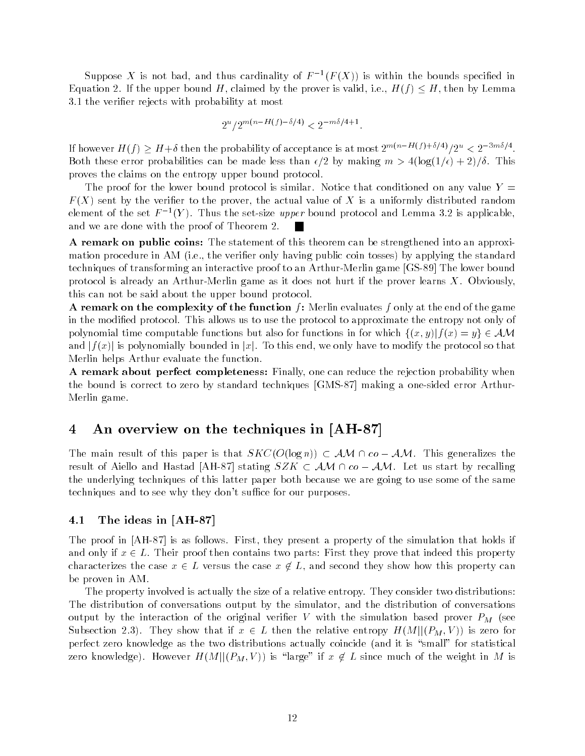Suppose  $\Lambda$  is not bad, and thus cardinality of  $F^{-1}(F(\Lambda))$  is within the bounds specified in Equation 2. If the upper bound H, claimed by the prover is valid, i.e.,  $H(f) \leq H$ , then by Lemma the verier rejects with probability at most

$$
2^{u}/2^{m(n-H(f)-\delta/4)} < 2^{-m\delta/4+1}
$$

If nowever  $H(f) > H + \delta$  then the probability of acceptance is at most  $2^{m(n-1)}(f) \leq r \leq 2^{-(m+1)}$ . . Both these errors can be made less than by matrix  $\mathcal{M}$  and  $\mathcal{M}$  is than  $\mathcal{M}$  is made less than  $\mathcal{M}$ proves the claims on the entropy upper bound protocol 

The proof for the lower bound protocol is similar. Notice that conditioned on any value  $Y =$  $F(X)$  sent by the verifier to the prover, the actual value of X is a uniformly distributed random element of the set  $F^{-+}(Y)$ . Thus the set-size *upper* bound protocol and Lemma 3.2 is applicable, and we are done with the proof of Theorem 2.

A remark on public coins: The statement of this theorem can be strengthened into an approximation procedure in AM (i.e., the verifier only having public coin tosses) by applying the standard techniques of transforming an interactive proof to an Arthur-Merlin game [GS-89] The lower bound protocol is already an Arthur-Merlin game as it does not hurt if the prover learns X. Obviously, this can not be said about the upper bound protocol 

A remark on the complexity of the function f: Merlin evaluates f only at the end of the game in the modified protocol. This allows us to use the protocol to approximate the entropy not only of polynomial time computable functions which functions and functions in form for which fixed  $\mathcal{S}^{\text{max}}$ and  $|f(x)|$  is polynomially bounded in |x|. To this end, we only have to modify the protocol so that Merlin helps Arthur evaluate the function 

A remark about perfect completeness: Finally, one can reduce the rejection probability when the bound is correct to zero by standard techniques [GMS-87] making a one-sided error Arthur-Merlin game 

## 4 An overview on the techniques in [AH-87]

The main result of this paper is that  $SKC(O(\log n)) \subset AM \cap co-AM$ . This generalizes the result of Aiello and Hastad [AH-87] stating  $SZK \subset \mathcal{AM} \cap co - \mathcal{AM}$ . Let us start by recalling the underlying techniques of this latter paper both because we are going to use some of the same techniques and to see why they don't suffice for our purposes.

## The ideas in  $\mathbb{R}^n$  is a function of  $\mathbb{R}^n$  in  $\mathbb{R}^n$  in  $\mathbb{R}^n$  in  $\mathbb{R}^n$  in  $\mathbb{R}^n$

The proof in [AH-87] is as follows. First, they present a property of the simulation that holds if and only if  $x \in L$ . Their proof then contains two parts: First they prove that indeed this property characterizes the case  $x \in L$  versus the case  $x \notin L$ , and second they show how this property can be proven in AM 

The property involved is actually the size of a relative entropy. They consider two distributions: The distribution of conversations output by the simulator and the distribution of conversations output by the interaction of the original verifier V with the simulation based prover  $P_M$  (see Subsection  They show that if x L then the relative entropy HMjjPM- V  is zero for perfect zero knowledge as the two distributions actually coincide (and it is "small" for statistical  $\mathcal{H}$  is a set of the much interesting if the weight if  $\mathcal{H}$  is a set of the weight in M is  $\mathcal{H}$  is a set of the weight in M is a set of the weight in M is a set of the weight in M is a set of the weight in M i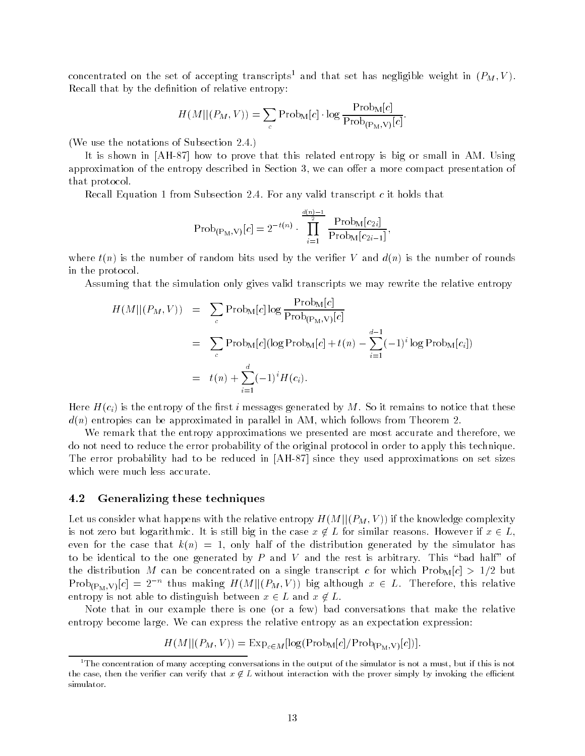concentrated on the set of accepting transcripts<sup>-</sup> and that set has negligible weight in  $(P_M,V)$ . Recall that by the definition of relative entropy:

$$
H(M||(P_M, V)) = \sum_{c} \text{Prob}_{M}[c] \cdot \log \frac{\text{Prob}_{M}[c]}{\text{Prob}_{(\text{P}_M, V)}[c]}.
$$

We use the notations of Subsection 

It is shown in [AH-87] how to prove that this related entropy is big or small in AM. Using approximation of the entropy described in Section we can o-er a more compact presentation of that protocol 

Recall Equation from Subsection For any valid transcript c it holds that

$$
Prob_{(P_M,V)}[c] = 2^{-t(n)} \cdot \prod_{i=1}^{\frac{d(n)-1}{2}} \frac{Prob_M[c_{2i}]}{Prob_M[c_{2i-1}]},
$$

where  $t(n)$  is the number of random bits used by the verifier V and  $d(n)$  is the number of rounds in the protocol 

Assuming that the simulation only gives valid transcripts we may rewrite the relative entropy

$$
H(M||(P_M, V)) = \sum_{c} \text{Prob}_{M}[c] \log \frac{\text{Prob}_{M}[c]}{\text{Prob}_{(P_M, V)}[c]}
$$
  
= 
$$
\sum_{c} \text{Prob}_{M}[c] (\log \text{Prob}_{M}[c] + t(n) - \sum_{i=1}^{d-1} (-1)^i \log \text{Prob}_{M}[c_i])
$$
  
= 
$$
t(n) + \sum_{i=1}^{d} (-1)^i H(c_i).
$$

Here  $H(c_i)$  is the entropy of the first i messages generated by M. So it remains to notice that these  $d(n)$  entropies can be approximated in parallel in AM, which follows from Theorem 2.

We remark that the entropy approximations we presented are most accurate and therefore, we do not need to reduce the error probability of the original protocol in order to apply this technique The error probability had to be reduced in [AH-87] since they used approximations on set sizes which were much less accurate 

## 4.2 Generalizing these techniques

Let us consider what happens with the relative entropy HMjjPM- V  if the knowledge complexity is not zero but logarithmic. It is still big in the case  $x \notin L$  for similar reasons. However if  $x \in L$ ,  $\mathbf{f}$  that know the distribution generated by the distribution generated by the simulator has simulated by the simulator has  $\mathbf{f}$ to be identical to the one generated by  $P$  and  $V$  and the rest is arbitrary. This "bad half" of the distribution  $\mathbf{u}$  and a single transcript c for which Probability c for which  $\mathbf{u}$  $\Pr{\text{top}}(P_M, V)[C] \equiv Z^{-\alpha}$  thus making  $H(M||(F_M, V))$  big although  $x \in L$ . Therefore, this relative entropy is not able to distinguish between  $x \in L$  and  $x \notin L$ .

Note that in our example there is one (or a few) bad conversations that make the relative entropy become large. We can express the relative entropy as an expectation expression:

 $\mathbb{H}^{\mathcal{P}}$  (iii)  $\mathcal{M}$  ,  $\mathcal{P}$  (  $\mathcal{P}$  )  $\mathcal{P}$  =  $\mathcal{P}$  (iii)  $\mathcal{P}$  (iii)  $\mathcal{P}$  (iii)  $\mathcal{P}$  (iii)  $\mathcal{P}$  (iii)  $\mathcal{P}$  (iiii)  $\mathcal{P}$ 

<sup>&</sup>lt;sup>1</sup>The concentration of many accepting conversations in the output of the simulator is not a must, but if this is not the case, then the verifier can verify that  $x \notin L$  without interaction with the prover simply by invoking the efficient simulator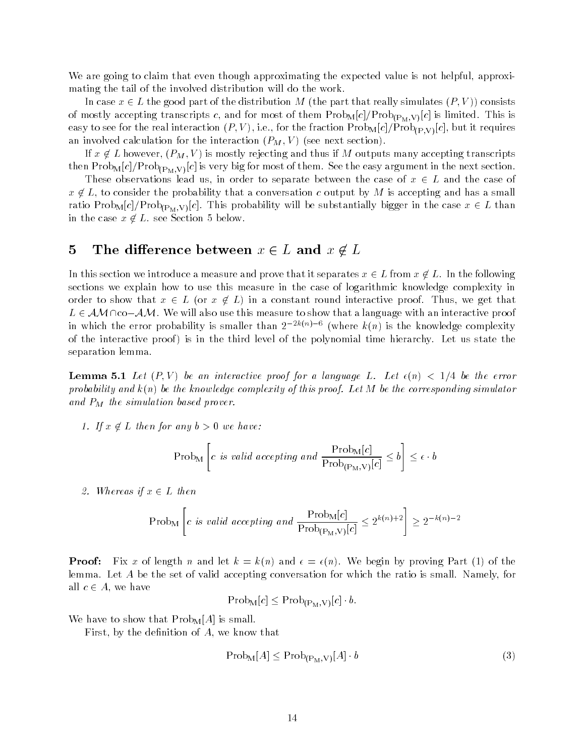We are going to claim that even though approximating the expected value is not helpful, approximating the tail of the involved distribution will do the work 

are the comparative part of the distribution of the part that really simulates p- p- p- p- p- p- p- p- p- p- p of mostly accepting transcripts c, and for most of them  $\text{Prob}_{M}[c]/\text{Prob}_{(P_M,V)}[c]$  is limited. This is easy to see for the real interaction  $\setminus$  -  $\setminus$   $\setminus$   $\setminus$   $\setminus$  is the fraction Problem but it requires  $\setminus$ and involved calculation for the interaction  $\mathcal{N}$  interaction  $\mathcal{N}$ 

if it is mostly regarded to the mostly regeres of many accepting transcripts in the M outputs many accepting tr then  $\text{Prob}_{M}[c]/\text{Prob}_{(P_M,V)}[c]$  is very big for most of them. See the easy argument in the next section.

These observations lead us, in order to separate between the case of  $x \in L$  and the case of  $x \notin L$ , to consider the probability that a conversation c output by M is accepting and has a small ratio Prob<sub>M</sub>[c]/Prob<sub>(P<sub>M</sub>,V<sub>1</sub>[c]. This probability will be substantially bigger in the case  $x \in L$  than</sub> in the case  $x \notin L$ . see Section 5 below.

## The di erence between <sup>x</sup> <sup>L</sup> and <sup>x</sup> <sup>L</sup>

In this section we introduce a measure and prove that it separates  $x \in L$  from  $x \notin L$ . In the following sections we explain how to use this measure in the case of logarithmic knowledge complexity in order to show that  $x \in L$  (or  $x \notin L$ ) in a constant round interactive proof. Thus, we get that  $L \in \mathcal{AM}\cap$ co $-\mathcal{AM}$ . We will also use this measure to show that a language with an interactive proof in which the error probability is smaller than  $Z^{-(\infty,\infty)}$  , where  $\kappa(n)$  is the knowledge complexity of the interactive proof) is in the third level of the polynomial time hierarchy. Let us state the separation lemma 

Lemma Let P- V be an interactive proof for a language L Let n be the error probability and  $k(n)$  be the knowledge complexity of this proof. Let M be the corresponding simulator and  $P_M$  the simulation based prover.

1. If  $x \notin L$  then for any  $b > 0$  we have:

$$
\text{Prob}_{\text{M}}\left[c \text{ is valid accepting and } \frac{\text{Prob}_{\text{M}}[c]}{\text{Prob}_{(\text{P}_{\text{M}}, \text{V})}[c]} \le b\right] \le \epsilon \cdot b
$$

2. Whereas if  $x \in L$  then

$$
Prob_M\left[c \text{ is valid accepting and } \frac{Prob_M[c]}{Prob_{(P_M,V)}[c]} \le 2^{k(n)+2}\right] \ge 2^{-k(n)-2}
$$

refers to the complete three control which we have a controlled province the control of the control of the cont lemma. Let A be the set of valid accepting conversation for which the ratio is small. Namely, for all  $c \in A$ , we have

ProbMc ProbPMVc b

We have to show that  $\mathrm{Prob}_{M}[A]$  is small.

First, by the definition of  $A$ , we know that

$$
Prob_M[A] \le Prob_{(P_M,V)}[A] \cdot b \tag{3}
$$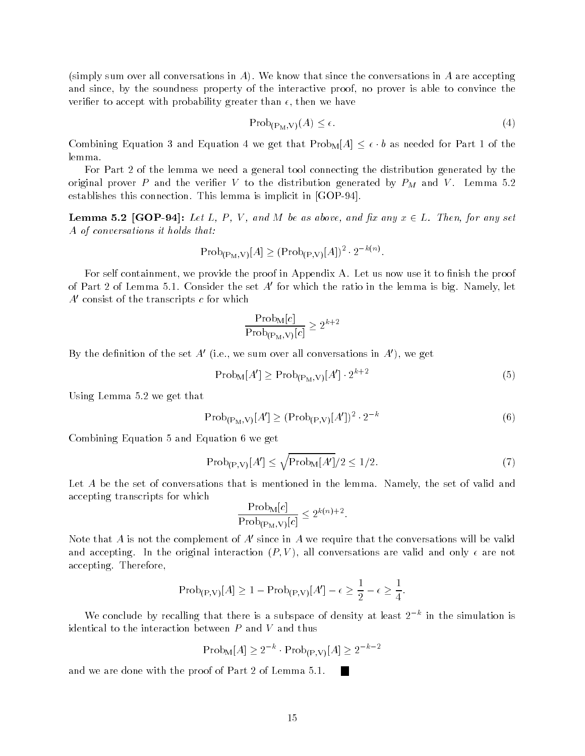(simply sum over all conversations in  $A$ ). We know that since the conversations in  $A$  are accepting and since, by the soundness property of the interactive proof, no prover is able to convince the verifier to accept with probability greater than  $\epsilon$ , then we have

$$
\mathrm{Prob}_{(\mathrm{P}_{\mathrm{M}},\mathrm{V})}(A) \le \epsilon. \tag{4}
$$

computer is a new to the Equation of the Gallery and Milesimeters are needed for Part Problems and the second lemma 

For Part 2 of the lemma we need a general tool connecting the distribution generated by the original prover P and the verifier V to the distribution generated by  $P_M$  and V. Lemma 5.2 establishes this connection. This lemma is implicit in  $[GOP-94]$ .

 $\mathbb{L}$  . Let  $\mathbb{L}$  be a sample and  $\mathbb{L}$  and  $\mathbb{L}$  and  $\mathbb{L}$  and  $\mathbb{L}$  any set  $\mathbb{L}$  and  $\mathbb{L}$  and  $\mathbb{L}$ A of conversations it holds that

$$
Prob_{(P_M,V)}[A] \geq (Prob_{(P,V)}[A])^{2} \cdot 2^{-k(n)}.
$$

For self containment, we provide the proof in Appendix A. Let us now use it to finish the proof of Part 2 of Lemma  $\circ$ .1. Consider the set  $A$  for which the ratio in the lemma is big. Namely, let  $A'$  consist of the transcripts c for which

$$
\frac{\text{Prob}_{M}[c]}{\text{Prob}_{(P_M,V)}[c]} \ge 2^{k+2}
$$

By the definition of the set  $A'$  (i.e., we sum over all conversations in  $A'$ ), we get

$$
Prob_M[A'] \ge Prob_{(P_M,V)}[A'] \cdot 2^{k+2}
$$
\n<sup>(5)</sup>

Using Lemma  $5.2$  we get that

$$
\mathrm{Prob}_{(\mathrm{P}_{\mathrm{M}},\mathrm{V})}[A'] \ge (\mathrm{Prob}_{(\mathrm{P},\mathrm{V})}[A'])^2 \cdot 2^{-k} \tag{6}
$$

Combining Equation 5 and Equation 6 we get

$$
Prob_{(P,V)}[A'] \le \sqrt{Prob_M[A']}/2 \le 1/2. \tag{7}
$$

Let  $A$  be the set of conversations that is mentioned in the lemma. Namely, the set of valid and accepting transcripts for which

$$
\frac{\text{Prob}_{\mathbf{M}}[c]}{\text{Prob}_{(\mathbf{P}_{\mathbf{M}},\mathbf{V})}[c]} \leq 2^{k(n)+2}.
$$

Note that A is not the complement of  $A'$  since in A we require that the conversations will be valid and accepting  $\mathcal{U}$  in the original interaction  $\mathcal{U}$  and only  $\mathcal{U}$  and only  $\mathcal{U}$ accepting. Therefore,

$$
Prob_{(P,V)}[A] \ge 1 - Prob_{(P,V)}[A'] - \epsilon \ge \frac{1}{2} - \epsilon \ge \frac{1}{4}.
$$

We conclude by recalling that there is a subspace of density at least k in the simulation is identical to the interaction between  $P$  and  $V$  and thus

$$
Prob_M[A] \ge 2^{-k} \cdot Prob_{(P,V)}[A] \ge 2^{-k-2}
$$

**In the first** 

and we are done with the proof of Part 2000 of Partners of Lemma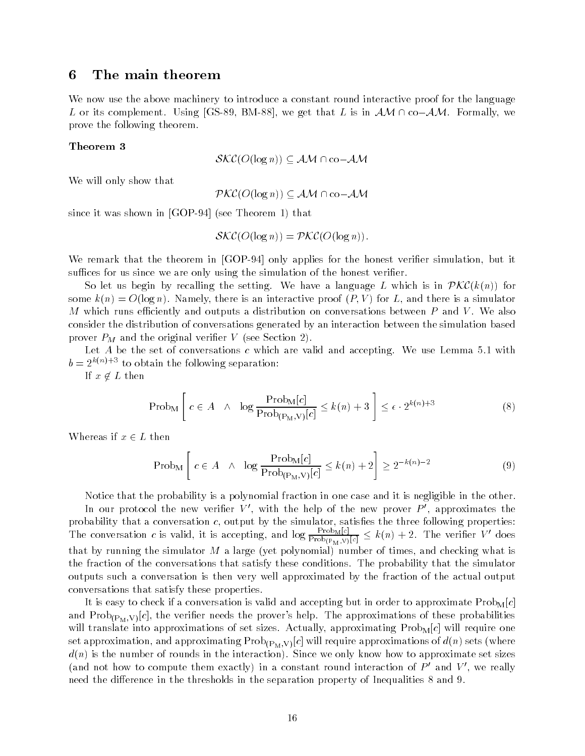## The main theorem

We now use the above machinery to introduce a constant round interactive proof for the language L or its complement. Using [GS-89, BM-88], we get that L is in  $\mathcal{AM} \cap \text{co-}\mathcal{AM}$ . Formally, we prove the following theorem 

### Theorem

$$
\mathcal{SKC}(O(\log n)) \subseteq \mathcal{AM} \cap \text{co-}\mathcal{AM}
$$

We will only show that

$$
\mathcal{P}\mathcal{K}\mathcal{C}(O(\log n)) \subseteq \mathcal{AM} \cap \text{co-}\mathcal{AM}
$$

since it was shown in GoP see Theorem in GoP see Theorem in GoP see Theorem in GoP see Theorem in GoP see Theorem in GoP see Theorem in GoP see Theorem in GoP see Theorem in GoP see Theorem in GoP see Theorem in GoP see T

$$
\mathcal{SKC}(O(\log n)) = \mathcal{PKC}(O(\log n)).
$$

We remark that the theorem in [GOP-94] only applies for the honest verifier simulation, but it suffices for us since we are only using the simulation of the honest verifier.

So let us begin by recalling the setting. We have a language L which is in  $\mathcal{PKC}(k(n))$  for some along the property there is an interactive proof proof is an interactive model in the simulator of the si M which runs efficiently and outputs a distribution on conversations between P and V. We also consider the distribution of conversations generated by an interaction between the simulation based prover  $P_M$  and the original verifier V (see Section 2).

Let A be the set of conversations c which are valid and accepting We use Lemma with  $b = 2^{n_1(n_2)}$  to obtain the following separation:

If  $x \notin L$  then

$$
\text{Prob}_{\mathcal{M}}\left[c \in A \quad \wedge \quad \log \frac{\text{Prob}_{\mathcal{M}}[c]}{\text{Prob}_{(\mathcal{P}_{\mathcal{M}}, \mathcal{V})}[c]} \le k(n) + 3\right] \le \epsilon \cdot 2^{k(n) + 3} \tag{8}
$$

Whereas if  $x \in L$  then

$$
\text{Prob}_{\mathcal{M}}\left[c \in A \quad \wedge \quad \log \frac{\text{Prob}_{\mathcal{M}}[c]}{\text{Prob}_{(\mathcal{P}_{\mathcal{M}}, V)}[c]} \le k(n) + 2\right] \ge 2^{-k(n)-2} \tag{9}
$$

Notice that the probability is a polynomial fraction in one case and it is negligible in the other 

In our protocol the new verifier  $V'$ , with the help of the new prover  $P'$ , approximates the The conversation c is valid, it is accepting, and log  $\frac{\text{Prob}_{M}[c]}{\text{Det}_{L}^{\text{max}}} \leq k(n) + 2$ . The verifier V' does  $\frac{1}{\text{Prob}_{(P_M, V)}[c]} \leq \kappa(n) + 2$ . The verifier *V* does that by running the simulator  $M$  a large (yet polynomial) number of times, and checking what is the fraction of the conversations that satisfy these conditions The probability that the simulator outputs such a conversation is then very well approximated by the fraction of the actual output conversations that satisfy these properties 

It is easy to check if a conversation is valid and accepting but in order to approximate  $\mathrm{Prob}_\mathrm{M}[c]$ and Prob<sub>(PMV)</sub>[c], the verifier needs the prover's help. The approximations of these probabilities will translate into approximations of set sizes. Actually, approximating  $\text{Prob}_{M}[c]$  will require one set approximation, and approximating  $\text{Prob}_{(P_M, V)}[c]$  will require approximations of  $d(n)$  sets (where  $d(n)$  is the number of rounds in the interaction). Since we only know how to approximate set sizes (and not how to compute them exactly) in a constant round interaction of  $P'$  and  $V'$ , we really erence in the distribution in the separation in the thresholds property in the qualities of India is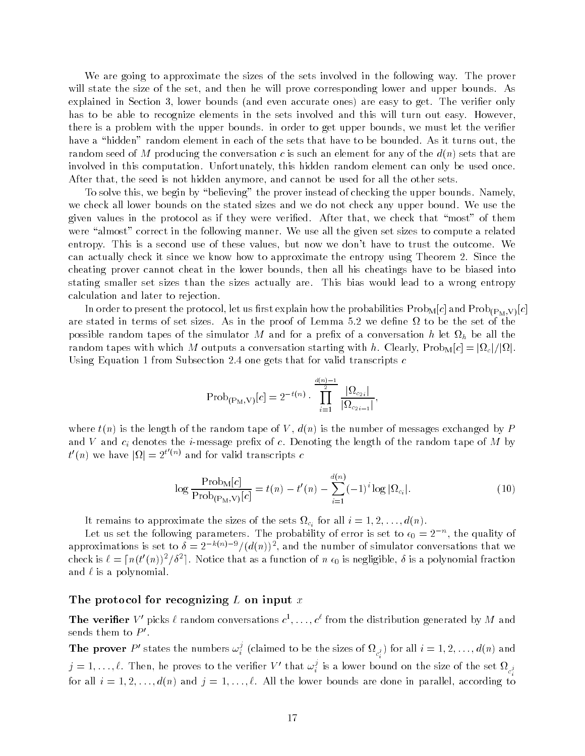We are going to approximate the sizes of the sets involved in the following way. The prover will state the size of the set, and then he will prove corresponding lower and upper bounds. As explained in Section 3, lower bounds (and even accurate ones) are easy to get. The verifier only has to be able to recognize elements in the sets involved and this will turn out easy. However, there is a problem with the upper bounds, in order to get upper bounds, we must let the verifier have a "hidden" random element in each of the sets that have to be bounded. As it turns out, the random seed of M producing the conversation c is such an element for any of the  $d(n)$  sets that are involved in this computation. Unfortunately, this hidden random element can only be used once. After that, the seed is not hidden anymore, and cannot be used for all the other sets.

To solve this, we begin by "believing" the prover instead of checking the upper bounds. Namely, we check all lower bounds on the stated sizes and we do not check any upper bound. We use the given values in the protocol as if they were verified. After that, we check that "most" of them were "almost" correct in the following manner. We use all the given set sizes to compute a related entropy. This is a second use of these values, but now we don't have to trust the outcome. We can actually check it since we know how to approximate the entropy using Theorem 2. Since the cheating prover cannot cheat in the lower bounds, then all his cheatings have to be biased into stating smaller set sizes than the sizes actually are This bias would lead to a wrong entropy calculation and later to rejection 

In order to present the protocol, let us first explain how the probabilities  $\mathrm{Prob}_{\mathrm{M}}[c]$  and  $\mathrm{Prob}_{(\mathrm{P_{M}},\mathrm{V})}[c]$ are stated in terms of set sizes. As in the proof of Lemma 5.2 we define  $\Omega$  to be the set of the possible random tapes of the simulator M and for a prefix of a conversation h let  $\Omega_h$  be all the random tapes with which M outputs a conversation starting with h. Clearly,  $\text{Prob}_{M}[c] = |\Omega_c|/|\Omega|$ Using Equation from Subsection one gets that for valid transcripts c

$$
\operatorname{Prob}_{(\mathrm{P}_{\mathrm{M}},\mathrm{V})}[c] = 2^{-t(n)} \cdot \prod_{i=1}^{\frac{d(n)-1}{2}} \frac{|\Omega_{c_{2i}}|}{|\Omega_{c_{2i-1}}|},
$$

where  $t(n)$  is the length of the random tape of V,  $d(n)$  is the number of messages exchanged by P and V and  $c_i$  denotes the *i*-message prefix of c. Denoting the length of the random tape of M by  $t'(n)$  we have  $|\Omega| = 2^{t(n)}$  and for valid transcripts c

$$
\log \frac{\text{Prob}_{M}[c]}{\text{Prob}_{(P_{M},V)}[c]} = t(n) - t'(n) - \sum_{i=1}^{d(n)} (-1)^{i} \log |\Omega_{c_{i}}|.
$$
 (10)

It remains to approximate the sizes of the sets ci for all <sup>i</sup> - - -dn 

Let us set the following parameters. The probability of error is set to  $\epsilon_0 = z^{-\alpha}$  , the quality of approximations is set to  $\delta = 2^{-\kappa(\gamma-\gamma)}(a(n))^{\tau}$ , and the number of simulator conversations that we check is  $\ell = |n(\ell(n))| / \delta$  . Notice that as a function of  $n \epsilon_0$  is negligible,  $\delta$  is a polynomial fraction and a polynomial and all and all and a polynomial contracts of the set of the set of the set of the set of the

### The protocol for recognizing  $L$  on input  $x$

**The verifier** V picks  $\ell$  random conversations  $c^*, \ldots, c^*$  from the distribution generated by M and sends them to  $P'$ .

The prover  $P'$  states the numbers  $\omega_i^s$  (claimed to be the sizes of  $\Omega_{c_i^j})$  for all  $i=1,2,\ldots,d(n)$  and  $\eta=1,\ldots,\ell.$  Then, he proves to the verifier V  $'$  that  $\omega_i^s$  is a  $\iota$  and the size of the size of the size of the set of the set of the size of the size of the set of the set of the set of the set of the set of the set of the set of the set of the set of the set of the set of the set company of the company of the company of  $f \colon A \to A$  and  $f \colon A \to A$  and  $f \colon A$  and  $f \colon A$  are done in parallel according to  $A$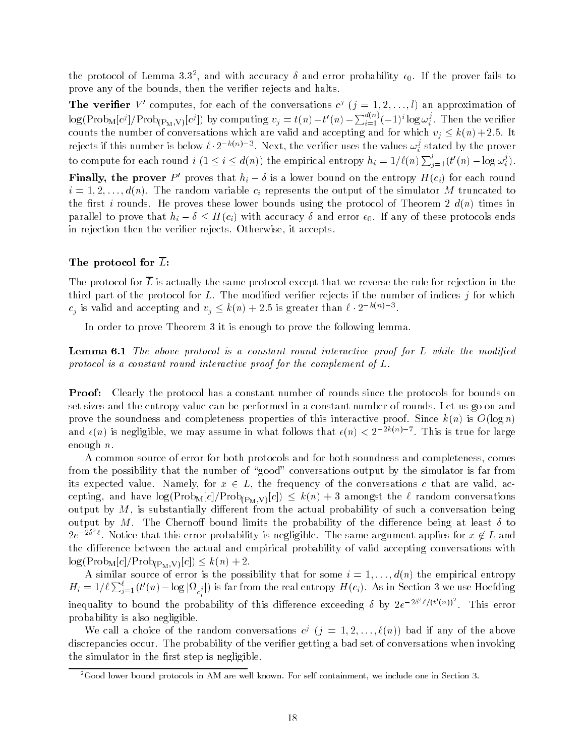the protocol of Lemma 3.35, and with accuracy  $\sigma$  and error probability  $\epsilon_0.$  If the prover fails to prove any of the bounds, then the verifier rejects and halts.

**The verifier** v computes, for each of the conversations  $c^*$  ( $\eta = 1, 2, \ldots, l$ ) an approximation of  $\log(\mathrm{Prob}_M[c^j]/\mathrm{Prob}_{(P_M,V)}[c^j])$  by computing  $v_j=t(n)-t'(n)-\sum_{i=1}^{u(n)}(-1)^i\log\omega_i^j$ . Then the verifier counts the number of conversations which are valid and accepting and for which  $v_j \leq k(n) + 2.5$ . It rejects if this number is below  $\ell\cdot 2^{-\kappa(\kappa)-3}$ . Next, the verifier uses the values  $\omega_i^s$  stated by the prover to compute for each round  $i$   $(1\leq i\leq d(n))$  the empirical entropy  $h_i=1/\ell(n)\sum_{i=1}^l(t'(n)-\log\omega_i^j).$ 

Finally, the prover P' proves that  $h_i - \delta$  is a lower bound on the entropy  $H(c_i)$  for each round i is the random variable city of the random variable city of the simulator and the simulator material to the simulator M truncated to the simulator material of the simulation of the simulator material of the simulator of t the first i rounds. He proves these lower bounds using the protocol of Theorem 2  $d(n)$  times in parallel to prove that  $h_i - \delta \leq H(c_i)$  with accuracy  $\delta$  and error  $\epsilon_0$ . If any of these protocols ends in rejection then the verifier rejects. Otherwise, it accepts.

## The protocol for  $\overline{L}$ :

The protocol for  $\overline{L}$  is actually the same protocol except that we reverse the rule for rejection in the third part of the protocol for  $L$ . The modified verifier rejects if the number of indices  $j$  for which  $c_j$  is valid and accepting and  $v_j \leq \kappa(n) + 2.5$  is greater than  $\ell \cdot 2^{-(n+1)/2}$ .

In order to prove Theorem  $3$  it is enough to prove the following lemma.

**Lemma 6.1** The above protocol is a constant round interactive proof for  $L$  while the modified protocol is a constant round interactive proof for the complement of  $L$ .

**Proof:** Clearly the protocol has a constant number of rounds since the protocols for bounds on set sizes and the entropy value can be performed in a constant number of rounds. Let us go on and prove the soundness and completeness properties of this interactive proof. Since  $k(n)$  is  $O(\log n)$ and  $\epsilon(n)$  is negligible, we may assume in what follows that  $\epsilon(n) < 2^{-\epsilon_{\text{max}}}$  . This is true for large enough  $n$ .

A common source of error for both protocols and for both soundness and completeness comes from the possibility that the number of "good" conversations output by the simulator is far from its expected value. Namely, for  $x \in L$ , the frequency of the conversations c that are valid, ac- $\mathcal{L}_{\mathbf{r}}$  and the state  $\mathcal{L}_{\mathbf{r}}$  and  $\mathcal{L}_{\mathbf{r}}$  is the  $(\mathbf{r}^{\mathbf{w}}\mathbf{w}^{\mathbf{r}})^{\mathbf{r}}$  and  $(\mathbf{r}^{\mathbf{w}}\mathbf{w}^{\mathbf{r}})^{\mathbf{r}}$  and  $(\mathbf{r}^{\mathbf{w}}\mathbf{w}^{\mathbf{r}})^{\mathbf{r}}$  and  $(\mathbf{r}^{\mathbf{w}}\mathbf{w}^{\mathbf{r}})^{\mathbf$ output by M is substantially di-erent from the actual probability of such a conversation being output by More and Chernoical bound and the probability of the distribution of the distribution of the least o  $2e^{-2\sigma^2t}$ . Notice that this error probability is negligible. The same argument applies for  $x \notin L$  and the di-erence between the actual and empirical probability of valid accepting conversations with  $\log(\mathrm{Prob}_{M}[c]/\mathrm{Prob}_{(P_{M},V)}[c]) \leq k(n) + 2.$ 

a similar source of the possibility that form is some in the some international entropy in the empirical entropy  $H_i=1/\ell\sum_{j=1}^t(t'(n)-\log|\Omega_{c_i^j}|)$  is far from the real entropy  $H(c_i)$ . As in Section 3 we use Hoefding  $\sim$  contracts to the contract of the contracts of the contracts of the contracts of the contracts of the contracts of the contracts of the contracts of the contracts of the contracts of the contracts of the contracts of inequality to bound the probability of this difference exceeding  $\delta$  by  $2e^{-2\delta^{-\epsilon}/(\ell-(n))}$ . This error probability is also negligible 

We can a choice of the random conversations  $c^j$   $\{j = 1, 2, \ldots, \ell(n)\}$  bad if any of the above discrepancies occur. The probability of the verifier getting a bad set of conversations when invoking the simulator in the first step is negligible.

<sup>-</sup>Good lower bound protocols in AM are well known. For self containment, we include one in Section 3.  $\,$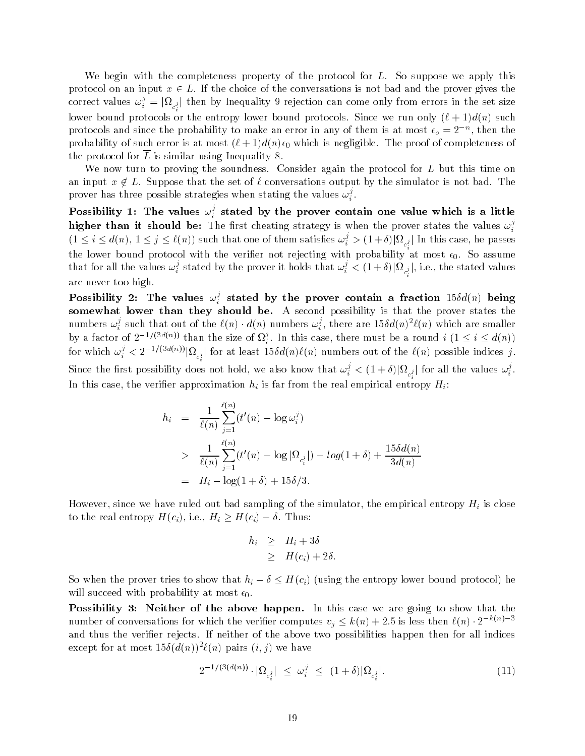We begin with the completeness property of the protocol for  $L$ . So suppose we apply this protocol on an input  $x \in L$ . If the choice of the conversations is not bad and the prover gives the correct values  $\omega_i^s=|\Omega_{c_i^j}|$  then by Inequality 9 rejection can come only from errors in the set size rower bound protocols or the entropy lower bound protocols. Since we run only it is mystificated protocols and since the probability to make an error in any of them is at most  $\epsilon_o = z^{-\alpha}$ , then the probability of such errors in the probability of complete the proof of complete the proof of complete the proof the protocol for  $L$  is similar using Inequality 8.

We now turn to proving the soundness. Consider again the protocol for  $L$  but this time on an input x Suppose that the set of the set of the set of the set of the simulator is not bad  $\Gamma$ prover has three possible strategies when stating the values  $\omega_i^i$  .

Possibility 1: The values  $\omega_i^q$  stated by the prover contain one value which is a little higher than it should be: The first cheating strategy is when the prover states the values  $\omega^s_i$  $i\in I \leq i \leq d(n),\, 1\leq j \leq \ell(n))$  such that one of them satisfies  $\omega_i^*> (1+\delta)|\Omega_{c_i^j}|$  in this case, he passes company of the company of the company of the lower bound protocol with the verified probability at most  $\mathbf{M}$  at most  $\mathbf{M}$  assume  $\mathbf{M}$ that for all the values  $\omega_i^s$  stated by the prover it holds that  $\omega_i^s< (1+o)|\Omega_{c_i^j}|,$  i.e., the stated values are never too high 

Possibility 2: The values  $\omega_i^s$  stated by the prover contain a fraction  $15\delta d(n)$  being somewhat lower than they should be. A second possibility is that the prover states the numbers  $\omega_i^s$  such that out of the  $\ell(n)\cdot d(n)$  numbers  $\omega_i^s$ , there are 150 $d(n)^s\ell(n)$  which are smaller by a factor of 2  $f^{(\alpha_0(n))}$  than the size of  $\Omega_i^s$ . In this case, there must be a round  $i$   $(1 \leq i \leq d(n))$ for which  $\omega_i^s < 2^{-i\gamma(\circ\omega(\cdot\cdot\cdot))}|\Omega_{c_i^j}|$  for at least  $1$ 50 $d(n)\ell(n)$  numbers out of the  $\ell(n)$  possible indices  $j$ .  $\sim$  contracts to the contract of the contracts of the contracts of the contracts of the contracts of the contracts of the contracts of the contracts of the contracts of the contracts of the contracts of the contracts of Since the first possibility does not hold, we also know that  $\omega_i^* < (1+o) \vert \Omega_{c_i^j} \vert$  for all the values  $\omega_i^*.$ company of the company of the company of In this case, the verifier approximation  $h_i$  is far from the real empirical entropy  $H_i$ :

$$
h_i = \frac{1}{\ell(n)} \sum_{j=1}^{\ell(n)} (t'(n) - \log \omega_i^j)
$$
  
> 
$$
\frac{1}{\ell(n)} \sum_{j=1}^{\ell(n)} (t'(n) - \log |\Omega_{c_i^j}|) - \log (1 + \delta) + \frac{15\delta d(n)}{3d(n)}
$$
  
= 
$$
H_i - \log(1 + \delta) + 15\delta/3.
$$

However, since we have ruled out bad sampling of the simulator, the empirical entropy  $H_i$  is close to the real entropy  $H(c_i)$ , i.e.,  $H_i \geq H(c_i) - \delta$ . Thus:

$$
h_i \geq H_i + 3\delta
$$
  
\n
$$
\geq H(c_i) + 2\delta.
$$

So when the prover tries to show that  $h_i - \delta \leq H(c_i)$  (using the entropy lower bound protocol) he will succeed with probability at most  $\epsilon_0$ .

**Possibility 3:** Neither of the above happen. In this case we are going to show that the number of conversations for which the verifier computes  $v_j \leq \kappa(n) + 2.5$  is less then  $\ell(n) \cdot 2^{-(\kappa + 1)}$ and thus the verifier rejects. If neither of the above two possibilities happen then for all indices except for at most  $1\vartheta(a(n))$   $\ell(n)$  pairs  $(i, j)$  we have

$$
2^{-1/(3(d(n))} \cdot |\Omega_{c_i^j}| \le \omega_i^j \le (1+\delta)|\Omega_{c_i^j}|. \tag{11}
$$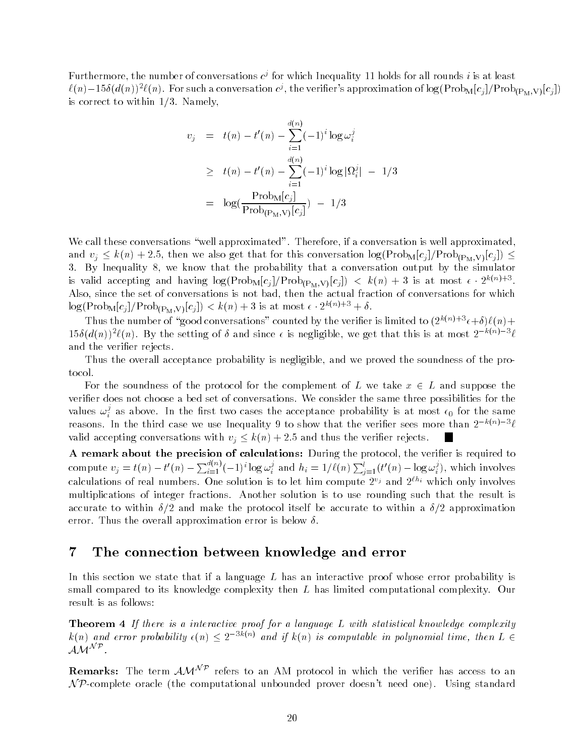Furthermore, the number of conversations  $c^{\downarrow}$  for which Inequality 11 holds for all rounds  $i$  is at least  $\ell(n)$  – 150  $(a(n))$  -  $\ell(n)$  . For such a conversation  $c$  , the verifier's approximation of log(Prob $_{\rm M}[c_j]/$ Prob $_{\rm (P_M,V)}[c_j]$ ) is correct to within ! Namely

$$
v_j = t(n) - t'(n) - \sum_{i=1}^{d(n)} (-1)^i \log \omega_i^j
$$
  
\n
$$
\geq t(n) - t'(n) - \sum_{i=1}^{d(n)} (-1)^i \log |\Omega_i^j| - 1/3
$$
  
\n
$$
= \log(\frac{\text{Prob}_{M}[c_j]}{\text{Prob}_{(P_M,V)}[c_j]}) - 1/3
$$

We call these conversations "well approximated". Therefore, if a conversation is well approximated, and  $v_i \leq k(n) + 2.5$ , then we also get that for this conversation  $\log(\text{Prob}_M[c_i]/\text{Prob}_{(P_M,V)}[c_i]) \leq$ 3. By Inequality 8, we know that the probability that a conversation output by the simulator is valid accepting and naving  $\log(\text{Frob}_M[c_j]/\text{Frob}_{(P_M,V)}[c_j]) \iff k(n) + 3$  is at most  $\epsilon \cdot 2^{n(n)+3}$ . Also, since the set of conversations is not bad, then the actual fraction of conversations for which  $\log(\text{Frob}_{M}[c_j]/\text{Frob}_{(P_M,V)}[c_j]) \leq \kappa(n) + 3$  is at most  $\epsilon \cdot 2^{n(n+1)} + \delta$ .

I mus the number of "good conversations" counted by the verifier is limited to  $(Z^{\kappa(\gamma)+\gamma}\epsilon + \sigma)\ell(n) +$  $1\partial\theta\{a(n)\}\in\mathcal{E}(n)$ . By the setting of  $\theta$  and since  $\epsilon$  is negligible, we get that this is at most  $2^{-(\kappa+\epsilon)}$  of and the verifier rejects.

Thus the overall acceptance probability is negligible and we proved the soundness of the pro tocol 

For the soundness of the protocol for the complement of L we take  $x \in L$  and suppose the verifier does not choose a bed set of conversations. We consider the same three possibilities for the values  $\omega_i^*$  as above. In the first two cases the acceptance probability is at most  $\epsilon_0$  for the same reasons. In the third case we use Inequality 9 to show that the verifier sees more than 2 "(")  $\ell$ valid accepting conversations with  $v_i \leq k(n) + 2.5$  and thus the verifier rejects.

A remark about the precision of calculations: During the protocol, the verifier is required to compute  $v_j = t(n) - t'(n) - \sum_{i=1}^{n(n)} (-1)^i \log \omega_i^j$  and  $h_i = 1/\ell(n) \sum_{j=1}^{i} (t'(n) - \log \omega_i^j)$ , which involves calculations of real numbers. One solution is to let him compute  $2^{v_j}$  and  $2^{\ell h_i}$  which only involves multiplications of integer fractions. Another solution is to use rounding such that the result is accurate to within  $\delta/2$  and make the protocol itself be accurate to within a  $\delta/2$  approximation error. Thus the overall approximation error is below  $\delta$ .

## The connection between knowledge and error

In this section we state that if a language  $L$  has an interactive proof whose error probability is small compared to its knowledge complexity then  $L$  has limited computational complexity. Our result is as follows

**Theorem 4** If there is a interactive proof for a language  $L$  with statistical knowledge complexity  $\kappa(n)$  and error probability  $\epsilon(n) \leq z$  . And if  $\kappa(n)$  is computable in polynomial time, then  $L \in \mathbb{R}$  $\mathcal{AM}^{n\times n}$  .

**Remarks:** The term  $AM^{\mathcal{NP}}$  refers to an AM protocol in which the verifier has access to an  $\mathcal{NP}$ -complete oracle (the computational unbounded prover doesn't need one). Using standard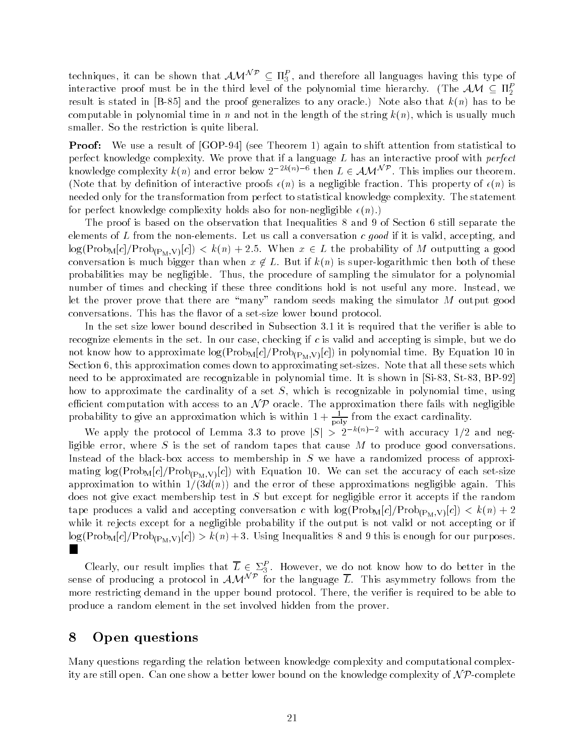techniques, it can be shown that  $\mathcal{AM}^{**} \subseteq \Pi_3^*$  , and therefore all languages having this type of interactive proof must be in the third level of the polynomial time merarchy. The  $A/\mathcal{N} \subseteq \Pi_2^+$ result is stated in [B-85] and the proof generalizes to any oracle.) Note also that  $k(n)$  has to be computable in polynomial time in n and not in the length of the string  $k(n)$ , which is usually much smaller. So the restriction is quite liberal.

Proof We use a result of GOP see Theorem  again to shift attention from statistical to perfect knowledge complexity. We prove that if a language  $L$  has an interactive proof with *perfect* knowledge complexity  $k(n)$  and error below  $2^{-m(n)}$   $\degree$  then  $L \in \mathcal{AM}^{\bullet\bullet}$  . This implies our theorem, (Note that by definition of interactive proofs  $\epsilon(n)$  is a negligible fraction. This property of  $\epsilon(n)$  is needed only for the transformation from perfect to statistical knowledge complexity. The statement for perfect knowledge compliexity holds also for non-negligible  $\epsilon(n)$ .)

The proof is based on the observation that Inequalities 8 and 9 of Section 6 still separate the elements of  $L$  from the non-elements. Let us call a conversation  $c$  good if it is valid, accepting, and  $\log(\text{Prob}_{M}[c]/\text{Prob}_{(P_M,V)}[c]) < k(n) + 2.5$ . When  $x \in L$  the probability of M outputting a good conversation is much bigger than when  $x \notin L$ . But if  $k(n)$  is super-logarithmic then both of these probabilities may be negligible. Thus, the procedure of sampling the simulator for a polynomial number of times and checking if these three conditions hold is not useful any more. Instead, we let the prover prove that there are "many" random seeds making the simulator  $M$  output good conversations. This has the flavor of a set-size lower bound protocol.

In the set size lower bound described in Subsection  $\mathcal{I}^{\text{in}}$  is required that the verier is able to verier is able to verier is able to verifie that the verifies  $\mathcal{I}^{\text{in}}$ recognize elements in the set. In our case, checking if  $c$  is valid and accepting is simple, but we do in the column of  $(n \in \{1, N\}, \lambda)$  in polynomial time  $\lambda$  in the  $\lambda$ Section 6, this approximation comes down to approximating set-sizes. Note that all these sets which need to be approximated are recognizable in polynomial time. It is shown in  $[Si-83, St-83, BP-92]$ how to approximate the cardinality of a set  $S$ , which is recognizable in polynomial time, using efficient computation with access to an  $\mathcal{NP}$  oracle. The approximation there fails with negligible probability to give an approximation which is within  $1+\frac{1}{\text{poly}}$  from the exact cardinality.

We apply the protocol of Lemma 3.3 to prove  $|S| > 2$  "(") = with accuracy  $1/Z$  and negligible error, where S is the set of random tapes that cause  $M$  to produce good conversations. Instead of the black-box access to membership in  $S$  we have a randomized process of approximatrix  $\mathcal{O}(1, \mathcal{O})$  . The multiple can set  $\mathcal{O}(1, \mathcal{M})$  in the accuracy of each setsize setsize setsizes approximation to within dn and the error of these approximations negligible again This does not give exact membership test in S but except for negligible error it accepts if the random tape produces a valid and accepting conversation c with  $log(Prob_M[c]/Prob_{(P_M,V)}[c]) < k(n) + 2$ while it rejects except for a negligible probability if the output is not valid or not accepting or if  $\log(\text{Prob}_{M}[c]/\text{Prob}_{(P_M,V)}[c]) > k(n) + 3$ . Using Inequalities 8 and 9 this is enough for our purposes.

Clearly, our result implies that  $L \in \mathbb{Z}_3^3$  . However, we do not know how to do better in the sense of producing a protocol in  $\mathcal{AM}^{**}$  for the language  $L.$  This asymmetry follows from the more restricting demand in the upper bound protocol. There, the verifier is required to be able to produce a random element in the set involved hidden from the prover 

#### 8 Open questions

Many questions regarding the relation between knowledge complexity and computational complex ity are still open. Can one show a better lower bound on the knowledge complexity of  $\mathcal{NP}$ -complete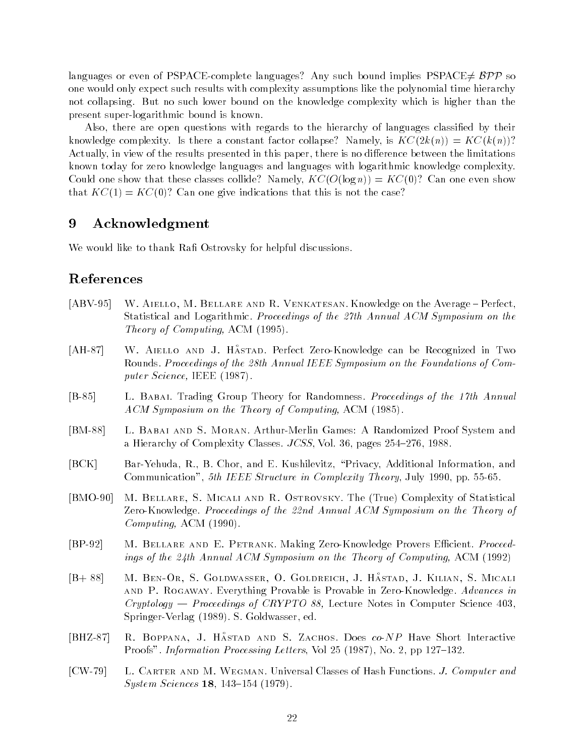languages or even of PSPACE-complete languages? Any such bound implies  $PSPACE \neq BPP$  so one would only expect such results with complexity assumptions like the polynomial time hierarchy not collapsing. But no such lower bound on the knowledge complexity which is higher than the present super-logarithmic bound is known.

Also, there are open questions with regards to the hierarchy of languages classified by their knowledge complexity. Is there a constant factor collapse? Namely, is  $KC(2k(n)) = KC(k(n))$ ? Actually in view of the results presented in this paper there is no di-erence between the limitations known today for zero knowledge languages and languages with logarithmic knowledge complexity Could one show that these classes collide? Namely,  $KC(O(\log n)) = KC(0)$ ? Can one even show that is a control of the case  $\pi$  . The case is not the case of the case of the case of the case of the case of

## Acknowledgment

We would like to thank Rafi Ostrovsky for helpful discussions.

## References

- [ABV-95] W. AIELLO, M. BELLARE AND R. VENKATESAN. Knowledge on the Average Perfect. Statistical and Logarithmic. Proceedings of the  $27th$  Annual ACM Symposium on the The Computing Acts of Computing Acts and the Computing Acts of Computing Acts and Acts of Computing Acts and A
- $\mu$ iii  $\sigma$ i $\mu$  are astadistic  $\sigma$  in  $\sigma$  in  $\mu$  in  $\sigma$  in  $\sigma$  and  $\sigma$  in  $\sigma$  in  $\sigma$  in  $\sigma$  in  $\sigma$  in  $\sigma$ Rounds. Proceedings of the 28th Annual IEEE Symposium on the Foundations of Computer science is a comment of the second property of the second second second second second second second second second second second second second second second second second second second second second second second seco
- [B-85] [B-85] L. BABAI. Trading Group Theory for Randomness. Proceedings of the 17th Annual ACM Symposium on the Theory of Computing ACM
- [BM-88] L. BABAI AND S. MORAN. Arthur-Merlin Games: A Randomized Proof System and a Hierarchy of Complexity Classes # Hierarchy Classes # Hierarchy Design # John # John # John # John # John #
- [BCK] Bar-Yehuda, R., B. Chor, and E. Kushilevitz, "Privacy, Additional Information, and Communication th IEEE Structure in Complexity Theory July pp
- [BMO-90] M. BELLARE, S. MICALI AND R. OSTROVSKY. The (True) Complexity of Statistical Zero-Knowledge. Proceedings of the 22nd Annual  $ACM$  Symposium on the Theory of Computing ACM
- [BP-92] M. BELLARE AND E. PETRANK. Making Zero-Knowledge Provers Efficient. *Proceed*ings of the th Annual ACM Symposium on the Theory of Computing ACM
- in and the mail only in computing and computing a microsoft of Himmit is allowed. AND P. ROGAWAY. Everything Provable is Provable in Zero-Knowledge. Advances in Cryptology  $-$  Proceedings of CRYPTO 88, Lecture Notes in Computer Science 403,  $\sim$  such that is a solution of  $\sim$  series of  $\sim$  such that is a solution of  $\sim$
- astad and I **and S P** and The State International International International International Interactive Control records and the cords of the cords of the cords of the cords of the cords of the cords of the cords of the cord
- [CW-79] L. CARTER AND M. WEGMAN. Universal Classes of Hash Functions. J. Computer and System Sciences #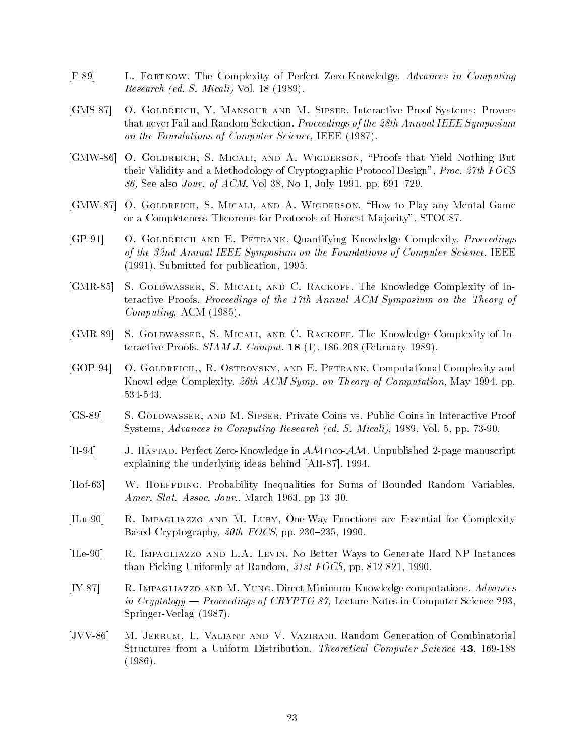- [F-89] L. FORTNOW. The Complexity of Perfect Zero-Knowledge. Advances in Computing Research ed S Micali Vol
- [GMS-87] O. GOLDREICH, Y. MANSOUR AND M. SIPSER. Interactive Proof Systems: Provers that never Fail and Random Selection. Proceedings of the 28th Annual IEEE Symposium on the Foundations of Computer Science IEEE IEEE I
- [GMW-86] O. GOLDREICH, S. MICALI, AND A. WIGDERSON, "Proofs that Yield Nothing But their Validity and a Methodology of Cryptographic Protocol Design", Proc. 27th FOCS See also Jour of ACM Vol No July pp #
- [GMW-87] O. GOLDREICH, S. MICALI, AND A. WIGDERSON, "How to Play any Mental Game or a Completeness Theorems for Protocols of Honest Majority", STOC87.
- $[GP-91]$ O. GOLDREICH AND E. PETRANK. Quantifying Knowledge Complexity. Proceedings of the 32nd Annual IEEE Symposium on the Foundations of Computer Science, IEEE submitted for publication of the publication of the publication of the set of the set of the set of the set of
- [GMR-85] S. GOLDWASSER, S. MICALI, AND C. RACKOFF. The Knowledge Complexity of Interactive Proofs. Proceedings of the 17th Annual ACM Symposium on the Theory of Computed Accounts to the Computer of the Computer of the Computer of the Computer of the Computer of the Computer of the Computer of the Computer of the Computer of the Computer of the Computer of the Computer of the Compu
- [GMR-89] S. GOLDWASSER, S. MICALI, AND C. RACKOFF. The Knowledge Complexity of In- $\mathbf{r}$  . The proofs of  $\mathbf{r}$  and  $\mathbf{r}$  and  $\mathbf{r}$  and  $\mathbf{r}$  and  $\mathbf{r}$  and  $\mathbf{r}$  and  $\mathbf{r}$  and  $\mathbf{r}$  and  $\mathbf{r}$  and  $\mathbf{r}$  and  $\mathbf{r}$  and  $\mathbf{r}$  and  $\mathbf{r}$  and  $\mathbf{r}$  and  $\mathbf{r}$  and
- [GOP-94] O. GOLDREICH,, R. OSTROVSKY, AND E. PETRANK. Computational Complexity and  $K$  . The computation of Computation May  $\mu$  and  $\mu$  and  $\mu$  and  $\mu$  and  $\mu$  and  $\mu$  and  $\mu$  and  $\mu$  and  $\mu$  and  $\mu$  and  $\mu$  and  $\mu$  and  $\mu$  and  $\mu$  and  $\mu$  and  $\mu$  and  $\mu$  and  $\mu$  and  $\mu$  and  $\mu$  and 534-543.
- [GS-89] S. GOLDWASSER, AND M. SIPSER, Private Coins vs. Public Coins in Interactive Proof systems advances in Computing Research powership working the S Micali Development of the S Micro
- H J H-astad Perfect ZeroKnowledge in AMcoAM Unpublished page manuscript explaining the underlying ideas behind AH
- [Hof-63] W. HOEFFDING. Probability Inequalities for Sums of Bounded Random Variables, Amer Stat Assoc Jour March pp #
- [ILu-90] R. IMPAGLIAZZO AND M. LUBY, One-Way Functions are Essential for Complexity Based Cryptography to Sail and Cryptography and the Focs p
- [ILe-90] R. IMPAGLIAZZO AND L.A. LEVIN, No Better Ways to Generate Hard NP Instances than Picking Uniformly at Picking Uniformly at Picking Uniformly at Picking Uniformly at Picking Uniformly at
- [IY-87] R. IMPAGLIAZZO AND M. YUNG. Direct Minimum-Knowledge computations. Advances in Cryptology  $-$  Proceedings of CRYPTO 87, Lecture Notes in Computer Science 293, SpringerVerlager in the second control of the second control of the second control of the second control of the
- [JVV-86] M. JERRUM, L. VALIANT AND V. VAZIRANI. Random Generation of Combinatorial structures from a Uniform Distribution of the Science Science Science Science Science Science  $\cdots$   $\cdots$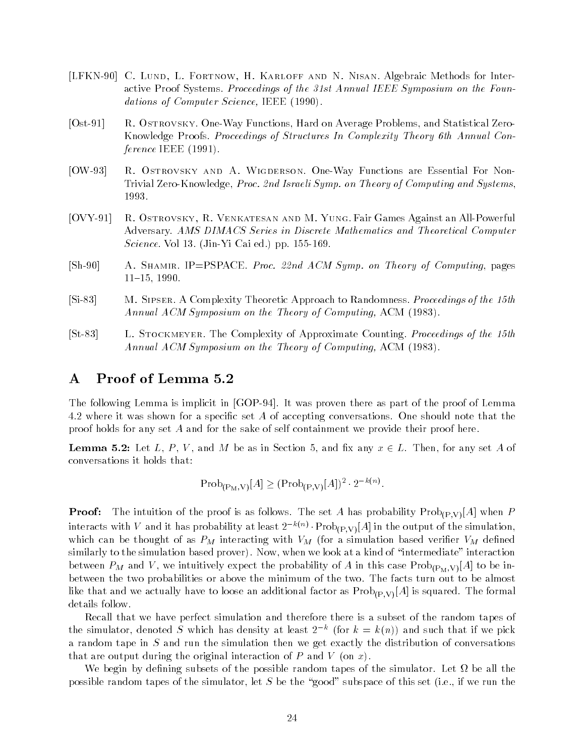- [LFKN-90] C. LUND, L. FORTNOW, H. KARLOFF AND N. NISAN. Algebraic Methods for Interactive Proof Systems. Proceedings of the 31st Annual IEEE Symposium on the Foundations of Computer Science IEEE IEEE I
- $[Ost-91]$ R. OSTROVSKY. One-Way Functions, Hard on Average Problems, and Statistical Zero-Knowledge Proofs. Proceedings of Structures In Complexity Theory 6th Annual Con $f$ erence is $f$ erence i
- [OW-93] R. OSTROVSKY AND A. WIGDERSON. One-Way Functions are Essential For Non-Trivial Zero-Knowledge, Proc. 2nd Israeli Symp. on Theory of Computing and Systems. 1993.
- $[OVY-91]$ R. OSTROVSKY, R. VENKATESAN AND M. YUNG. Fair Games Against an All-Powerful Adversary. AMS DIMACS Series in Discrete Mathematics and Theoretical Computer science van wel van die eerstel pplaats wat v
- [Sh-90] A. SHAMIR. IP=PSPACE. Proc. 22nd ACM Symp. on Theory of Computing, pages ------------
- [Si-83] M. SIPSER. A Complexity Theoretic Approach to Randomness. Proceedings of the 15th Annual ACM Symposium on the Theory of Computing ACM
- [St-83] L. STOCKMEYER. The Complexity of Approximate Counting. *Proceedings of the 15th* Annual ACM Symposium on the Theory of Computing ACM

#### $\mathbf{A}$ Proof of Lemma 5.2

The following Lemma is implicit in [GOP-94]. It was proven there as part of the proof of Lemma 4.2 where it was shown for a specific set A of accepting conversations. One should note that the proof holds for any set  $A$  and for the sake of self containment we provide their proof here.

**Lemma 5.2:** Let L, P, V, and M be as in Section 5, and fix any  $x \in L$ . Then, for any set A of conversations it holds that

$$
Prob_{(\mathrm{P}_\mathrm{M},\mathrm{V})}[A] \geq (\mathrm{Prob}_{(\mathrm{P},\mathrm{V})}[A])^2 \cdot 2^{-k(n)}.
$$

**Proof:** The intuition of the proof is as follows. The set A has probability  $\text{Prob}_{(P,V)}[A]$  when P interacts with  $V$  and it has probability at least  $Z^{-(\kappa,\kappa)}$  . Prob $_{(P,V)}$ [A] in the output of the simulation, which can be thought of as  $P_M$  interacting with  $V_M$  (for a simulation based verifier  $V_M$  defined similarly to the simulation based prover). Now, when we look at a kind of "intermediate" interaction between  $P_M$  and V, we intuitively expect the probability of A in this case  $\text{Prob}_{(P_M,V)}[A]$  to be inbetween the two probabilities or above the minimum of the two. The facts turn out to be almost like that and we actually have to loose an additional factor as  $\text{Prob}_{(P,V)}[A]$  is squared. The formal details follow 

Recall that we have perfect simulation and therefore there is a subset of the random tapes of the simulator, denoted  $S$  which has density at least  $Z^+$  (for  $\kappa = \kappa(n)$ ) and such that if we pick a random tape in S and run the simulation then we get exactly the distribution of conversations that are output during the original interaction of  $P$  and  $V$  (on  $x$ ).

We begin by defining subsets of the possible random tapes of the simulator. Let  $\Omega$  be all the possible random tapes of the simulator, let S be the "good" subspace of this set (i.e., if we run the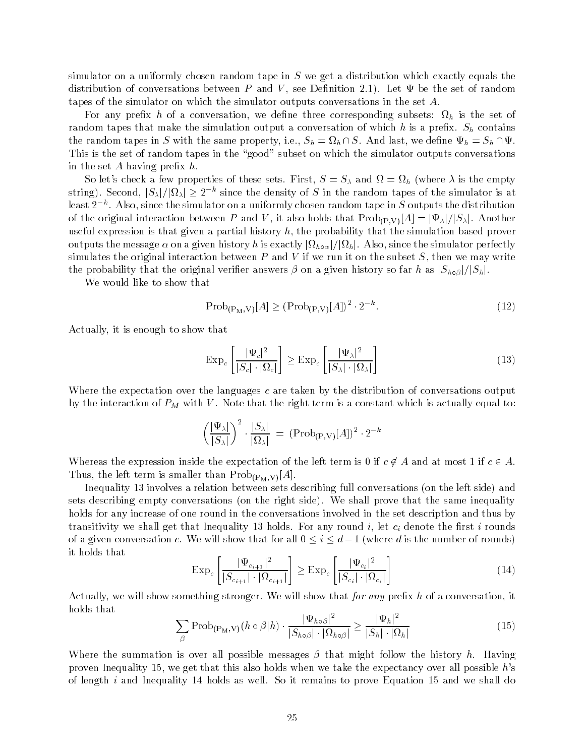simulator on a uniformly chosen random tape in  $S$  we get a distribution which exactly equals the distribution of conversations between  $\mathbf{L}$  and  $\mathbf{L}$ tapes of the simulator on which the simulator outputs conversations in the set A 

For any prefix h of a conversation, we define three corresponding subsets:  $\Omega_h$  is the set of random tapes that make the simulation output a conversation of which h is a prefix.  $S_h$  contains the random tapes in S with the same property, i.e.,  $S_h = \Omega_h \cap S$ . And last, we define  $\Psi_h = S_h \cap \Psi$ . This is the set of random tapes in the "good" subset on which the simulator outputs conversations in the set  $A$  having prefix  $h$ .

So let's check a few properties of these sets. First,  $S = S_\lambda$  and  $\Omega = \Omega_h$  (where  $\lambda$  is the empty string). Second,  $|S_\lambda|/|M_\lambda| \geq 2$  " since the density of S in the random tapes of the simulator is at least  $z$  ). Also, since the simulator on a uniformly chosen random tape in  $\overline{S}$  outputs the distribution of the original interaction between P and V, it also holds that  $\text{Prob}_{(P,V)}[A] = |\Psi_{\lambda}|/|S_{\lambda}|$ . Another useful expression is that given a partial history  $h$ , the probability that the simulation based prover outputs the message  $\alpha$  on a given history h is exactly  $|\Omega_{ho\alpha}|/|\Omega_h|$ . Also, since the simulator perfectly simulates the original interaction between  $P$  and  $V$  if we run it on the subset  $S$ , then we may write the probability that the original verifier answers  $\beta$  on a given history so far h as  $|S_{h \circ \beta}|/|S_h|$ .

We would like to show that

$$
Prob_{(P_M,V)}[A] \ge (Prob_{(P,V)}[A])^2 \cdot 2^{-k}.
$$
\n(12)

Actually, it is enough to show that

$$
\operatorname{Exp}_c\left[\frac{|\Psi_c|^2}{|S_c|\cdot|\Omega_c|}\right] \ge \operatorname{Exp}_c\left[\frac{|\Psi_\lambda|^2}{|S_\lambda|\cdot|\Omega_\lambda|}\right] \tag{13}
$$

Where the expectation over the languages c are taken by the distribution of conversations output by the interaction of  $P_M$  with V. Note that the right term is a constant which is actually equal to:

$$
\left(\frac{|\Psi_{\lambda}|}{|S_{\lambda}|}\right)^2 \cdot \frac{|S_{\lambda}|}{|\Omega_{\lambda}|} = (\text{Prob}_{(\text{P}, \text{V})}[A])^2 \cdot 2^{-k}
$$

Where the expectation inside the expectation inside the expectation of the left term is  $\frac{1}{\sqrt{2}}$ Thus, the left term is smaller than  $\mathrm{Prob}_{(\mathrm{P_M},\mathrm{V})}[A].$ 

Inequality involves a relation between sets describing full conversations on the left side and sets describing empty conversations (on the right side). We shall prove that the same inequality holds for any increase of one round in the conversations involved in the set description and thus by . Transitivity we shall get that Inequality as mathematically common the range the range the range  $\sim$ of a given conversation conversation conversation conversation conversation  $\mathcal{W}$ it holds that

$$
\text{Exp}_c\left[\frac{|\Psi_{c_{i+1}}|^2}{|S_{c_{i+1}}|\cdot|\Omega_{c_{i+1}}|}\right] \ge \text{Exp}_c\left[\frac{|\Psi_{c_i}|^2}{|S_{c_i}|\cdot|\Omega_{c_i}|}\right] \tag{14}
$$

Actually, we will show something stronger. We will show that for any prefix  $h$  of a conversation, it holds that

$$
\sum_{\beta} \operatorname{Prob}_{(\mathcal{P}_M, \mathcal{V})} (h \circ \beta | h) \cdot \frac{|\Psi_{h \circ \beta}|^2}{|S_{h \circ \beta}| \cdot |\Omega_{h \circ \beta}|} \ge \frac{|\Psi_h|^2}{|S_h| \cdot |\Omega_h|} \tag{15}
$$

Where the summation is over all possible messages  $\beta$  that might follow the history h. Having proven Inequality we get that this also holds when we take the expectancy over all possible hs of length i and the quality to distant as well as well as well as prove Equation to and we shall do